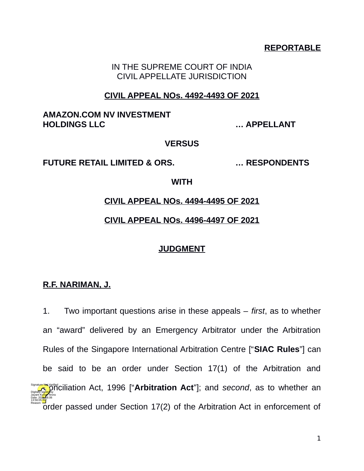# **REPORTABLE**

IN THE SUPREME COURT OF INDIA CIVIL APPELLATE JURISDICTION

### **CIVIL APPEAL NOs. 4492-4493 OF 2021**

# **AMAZON.COM NV INVESTMENT HOLDINGS LLC … APPELLANT**

#### **VERSUS**

#### **FUTURE RETAIL LIMITED & ORS. … RESPONDENTS**

#### **WITH**

### **CIVIL APPEAL NOs. 4494-4495 OF 2021**

# **CIVIL APPEAL NOs. 4496-4497 OF 2021**

### **JUDGMENT**

# **R.F. NARIMAN, J.**

1. Two important questions arise in these appeals – *first*, as to whether an "award" delivered by an Emergency Arbitrator under the Arbitration Rules of the Singapore International Arbitration Centre ["**SIAC Rules**"] can be said to be an order under Section 17(1) of the Arbitration and **Consumers Act, 1996 ["Arbitration Act**"]; and *second*, as to whether an order passed under Section 17(2) of the Arbitration Act in enforcement of Digitally signed by Jayant Kumar Arora Date: 2024-08.06 13:56:05<sup>1S</sup> Reason: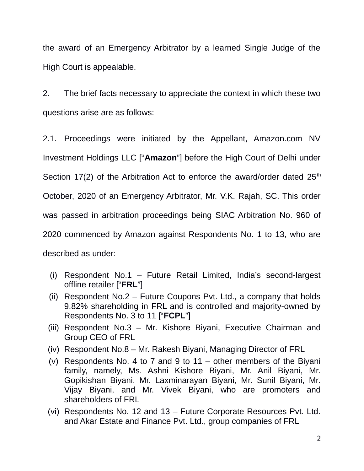the award of an Emergency Arbitrator by a learned Single Judge of the High Court is appealable.

2. The brief facts necessary to appreciate the context in which these two questions arise are as follows:

2.1. Proceedings were initiated by the Appellant, Amazon.com NV Investment Holdings LLC ["**Amazon**"] before the High Court of Delhi under Section 17(2) of the Arbitration Act to enforce the award/order dated  $25<sup>th</sup>$ October, 2020 of an Emergency Arbitrator, Mr. V.K. Rajah, SC. This order was passed in arbitration proceedings being SIAC Arbitration No. 960 of 2020 commenced by Amazon against Respondents No. 1 to 13, who are described as under:

- (i) Respondent No.1 Future Retail Limited, India's second-largest offline retailer ["**FRL**"]
- (ii) Respondent No.2 Future Coupons Pvt. Ltd., a company that holds 9.82% shareholding in FRL and is controlled and majority-owned by Respondents No. 3 to 11 ["**FCPL**"]
- (iii) Respondent No.3 Mr. Kishore Biyani, Executive Chairman and Group CEO of FRL
- (iv) Respondent No.8 Mr. Rakesh Biyani, Managing Director of FRL
- (v) Respondents No. 4 to 7 and 9 to  $11 -$  other members of the Biyani family, namely, Ms. Ashni Kishore Biyani, Mr. Anil Biyani, Mr. Gopikishan Biyani, Mr. Laxminarayan Biyani, Mr. Sunil Biyani, Mr. Vijay Biyani, and Mr. Vivek Biyani, who are promoters and shareholders of FRL
- (vi) Respondents No. 12 and 13 Future Corporate Resources Pvt. Ltd. and Akar Estate and Finance Pvt. Ltd., group companies of FRL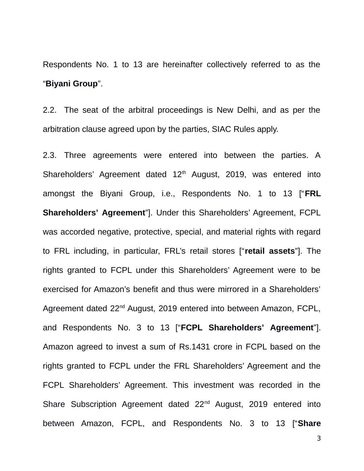Respondents No. 1 to 13 are hereinafter collectively referred to as the "**Biyani Group**".

2.2. The seat of the arbitral proceedings is New Delhi, and as per the arbitration clause agreed upon by the parties, SIAC Rules apply.

2.3. Three agreements were entered into between the parties. A Shareholders' Agreement dated 12<sup>th</sup> August, 2019, was entered into amongst the Biyani Group, i.e., Respondents No. 1 to 13 ["**FRL Shareholders' Agreement**"]. Under this Shareholders' Agreement, FCPL was accorded negative, protective, special, and material rights with regard to FRL including, in particular, FRL's retail stores ["**retail assets**"]. The rights granted to FCPL under this Shareholders' Agreement were to be exercised for Amazon's benefit and thus were mirrored in a Shareholders' Agreement dated 22<sup>nd</sup> August, 2019 entered into between Amazon, FCPL, and Respondents No. 3 to 13 ["**FCPL Shareholders' Agreement**"]. Amazon agreed to invest a sum of Rs.1431 crore in FCPL based on the rights granted to FCPL under the FRL Shareholders' Agreement and the FCPL Shareholders' Agreement. This investment was recorded in the Share Subscription Agreement dated 22<sup>nd</sup> August, 2019 entered into between Amazon, FCPL, and Respondents No. 3 to 13 ["**Share**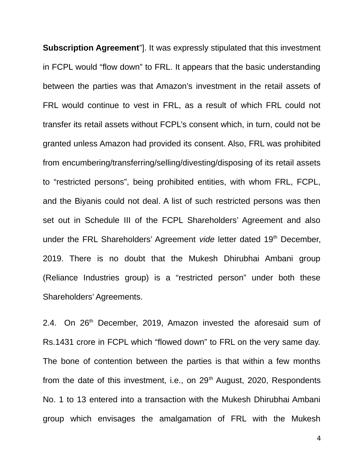**Subscription Agreement**"]. It was expressly stipulated that this investment in FCPL would "flow down" to FRL. It appears that the basic understanding between the parties was that Amazon's investment in the retail assets of FRL would continue to vest in FRL, as a result of which FRL could not transfer its retail assets without FCPL's consent which, in turn, could not be granted unless Amazon had provided its consent. Also, FRL was prohibited from encumbering/transferring/selling/divesting/disposing of its retail assets to "restricted persons", being prohibited entities, with whom FRL, FCPL, and the Biyanis could not deal. A list of such restricted persons was then set out in Schedule III of the FCPL Shareholders' Agreement and also under the FRL Shareholders' Agreement *vide* letter dated 19<sup>th</sup> December, 2019. There is no doubt that the Mukesh Dhirubhai Ambani group (Reliance Industries group) is a "restricted person" under both these Shareholders' Agreements.

2.4. On  $26<sup>th</sup>$  December, 2019, Amazon invested the aforesaid sum of Rs.1431 crore in FCPL which "flowed down" to FRL on the very same day. The bone of contention between the parties is that within a few months from the date of this investment, i.e., on  $29<sup>th</sup>$  August, 2020, Respondents No. 1 to 13 entered into a transaction with the Mukesh Dhirubhai Ambani group which envisages the amalgamation of FRL with the Mukesh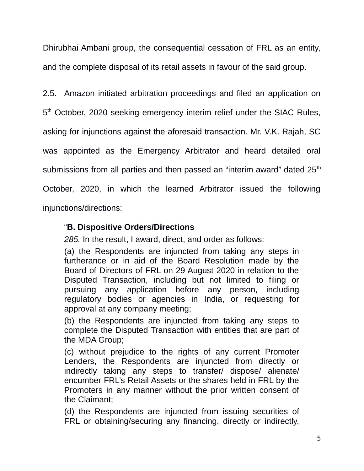Dhirubhai Ambani group, the consequential cessation of FRL as an entity, and the complete disposal of its retail assets in favour of the said group.

2.5. Amazon initiated arbitration proceedings and filed an application on 5<sup>th</sup> October, 2020 seeking emergency interim relief under the SIAC Rules, asking for injunctions against the aforesaid transaction. Mr. V.K. Rajah, SC was appointed as the Emergency Arbitrator and heard detailed oral submissions from all parties and then passed an "interim award" dated 25<sup>th</sup> October, 2020, in which the learned Arbitrator issued the following injunctions/directions:

"**B. Dispositive Orders/Directions**

*285.* In the result, I award, direct, and order as follows:

(a) the Respondents are injuncted from taking any steps in furtherance or in aid of the Board Resolution made by the Board of Directors of FRL on 29 August 2020 in relation to the Disputed Transaction, including but not limited to filing or pursuing any application before any person, including regulatory bodies or agencies in India, or requesting for approval at any company meeting;

(b) the Respondents are injuncted from taking any steps to complete the Disputed Transaction with entities that are part of the MDA Group;

(c) without prejudice to the rights of any current Promoter Lenders, the Respondents are injuncted from directly or indirectly taking any steps to transfer/ dispose/ alienate/ encumber FRL's Retail Assets or the shares held in FRL by the Promoters in any manner without the prior written consent of the Claimant;

(d) the Respondents are injuncted from issuing securities of FRL or obtaining/securing any financing, directly or indirectly,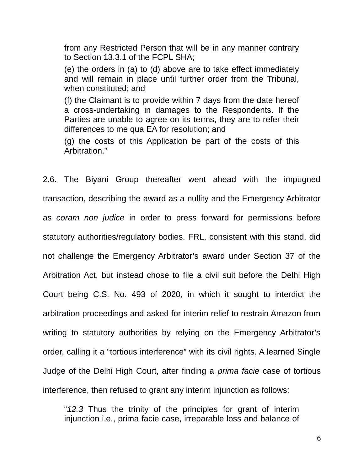from any Restricted Person that will be in any manner contrary to Section 13.3.1 of the FCPL SHA;

(e) the orders in (a) to (d) above are to take effect immediately and will remain in place until further order from the Tribunal, when constituted; and

(f) the Claimant is to provide within 7 days from the date hereof a cross-undertaking in damages to the Respondents. If the Parties are unable to agree on its terms, they are to refer their differences to me qua EA for resolution; and

(g) the costs of this Application be part of the costs of this Arbitration."

2.6. The Biyani Group thereafter went ahead with the impugned transaction, describing the award as a nullity and the Emergency Arbitrator as *coram non judice* in order to press forward for permissions before statutory authorities/regulatory bodies. FRL, consistent with this stand, did not challenge the Emergency Arbitrator's award under Section 37 of the Arbitration Act, but instead chose to file a civil suit before the Delhi High Court being C.S. No. 493 of 2020, in which it sought to interdict the arbitration proceedings and asked for interim relief to restrain Amazon from writing to statutory authorities by relying on the Emergency Arbitrator's order, calling it a "tortious interference" with its civil rights. A learned Single Judge of the Delhi High Court, after finding a *prima facie* case of tortious interference, then refused to grant any interim injunction as follows:

"*12.3* Thus the trinity of the principles for grant of interim injunction i.e., prima facie case, irreparable loss and balance of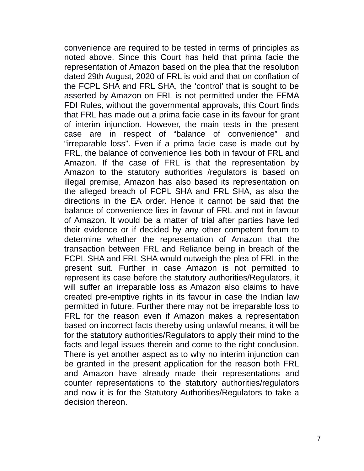convenience are required to be tested in terms of principles as noted above. Since this Court has held that prima facie the representation of Amazon based on the plea that the resolution dated 29th August, 2020 of FRL is void and that on conflation of the FCPL SHA and FRL SHA, the 'control' that is sought to be asserted by Amazon on FRL is not permitted under the FEMA FDI Rules, without the governmental approvals, this Court finds that FRL has made out a prima facie case in its favour for grant of interim injunction. However, the main tests in the present case are in respect of "balance of convenience" and "irreparable loss". Even if a prima facie case is made out by FRL, the balance of convenience lies both in favour of FRL and Amazon. If the case of FRL is that the representation by Amazon to the statutory authorities /regulators is based on illegal premise, Amazon has also based its representation on the alleged breach of FCPL SHA and FRL SHA, as also the directions in the EA order. Hence it cannot be said that the balance of convenience lies in favour of FRL and not in favour of Amazon. It would be a matter of trial after parties have led their evidence or if decided by any other competent forum to determine whether the representation of Amazon that the transaction between FRL and Reliance being in breach of the FCPL SHA and FRL SHA would outweigh the plea of FRL in the present suit. Further in case Amazon is not permitted to represent its case before the statutory authorities/Regulators, it will suffer an irreparable loss as Amazon also claims to have created pre-emptive rights in its favour in case the Indian law permitted in future. Further there may not be irreparable loss to FRL for the reason even if Amazon makes a representation based on incorrect facts thereby using unlawful means, it will be for the statutory authorities/Regulators to apply their mind to the facts and legal issues therein and come to the right conclusion. There is yet another aspect as to why no interim injunction can be granted in the present application for the reason both FRL and Amazon have already made their representations and counter representations to the statutory authorities/regulators and now it is for the Statutory Authorities/Regulators to take a decision thereon.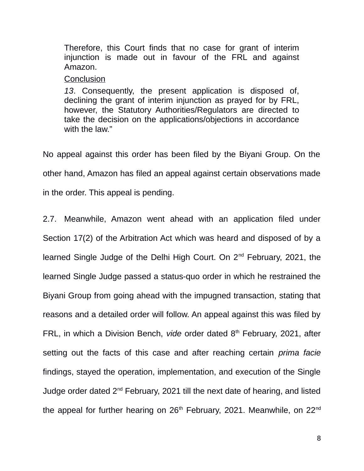Therefore, this Court finds that no case for grant of interim injunction is made out in favour of the FRL and against Amazon.

# **Conclusion**

*13*. Consequently, the present application is disposed of, declining the grant of interim injunction as prayed for by FRL, however, the Statutory Authorities/Regulators are directed to take the decision on the applications/objections in accordance with the law."

No appeal against this order has been filed by the Biyani Group. On the other hand, Amazon has filed an appeal against certain observations made in the order. This appeal is pending.

2.7. Meanwhile, Amazon went ahead with an application filed under Section 17(2) of the Arbitration Act which was heard and disposed of by a learned Single Judge of the Delhi High Court. On 2<sup>nd</sup> February, 2021, the learned Single Judge passed a status-quo order in which he restrained the Biyani Group from going ahead with the impugned transaction, stating that reasons and a detailed order will follow. An appeal against this was filed by FRL, in which a Division Bench, *vide* order dated 8<sup>th</sup> February, 2021, after setting out the facts of this case and after reaching certain *prima facie* findings, stayed the operation, implementation, and execution of the Single Judge order dated  $2^{nd}$  February, 2021 till the next date of hearing, and listed the appeal for further hearing on  $26<sup>th</sup>$  February, 2021. Meanwhile, on  $22<sup>nd</sup>$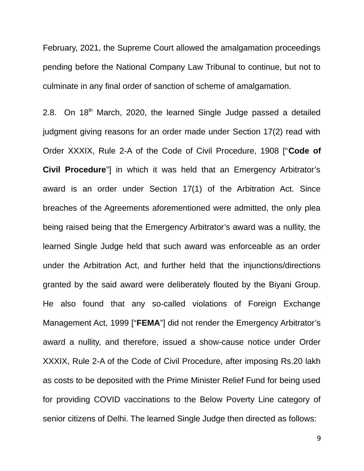February, 2021, the Supreme Court allowed the amalgamation proceedings pending before the National Company Law Tribunal to continue, but not to culminate in any final order of sanction of scheme of amalgamation.

2.8. On  $18<sup>th</sup>$  March, 2020, the learned Single Judge passed a detailed judgment giving reasons for an order made under Section 17(2) read with Order XXXIX, Rule 2-A of the Code of Civil Procedure, 1908 ["**Code of Civil Procedure**"] in which it was held that an Emergency Arbitrator's award is an order under Section 17(1) of the Arbitration Act. Since breaches of the Agreements aforementioned were admitted, the only plea being raised being that the Emergency Arbitrator's award was a nullity, the learned Single Judge held that such award was enforceable as an order under the Arbitration Act, and further held that the injunctions/directions granted by the said award were deliberately flouted by the Biyani Group. He also found that any so-called violations of Foreign Exchange Management Act, 1999 ["**FEMA**"] did not render the Emergency Arbitrator's award a nullity, and therefore, issued a show-cause notice under Order XXXIX, Rule 2-A of the Code of Civil Procedure, after imposing Rs.20 lakh as costs to be deposited with the Prime Minister Relief Fund for being used for providing COVID vaccinations to the Below Poverty Line category of senior citizens of Delhi. The learned Single Judge then directed as follows: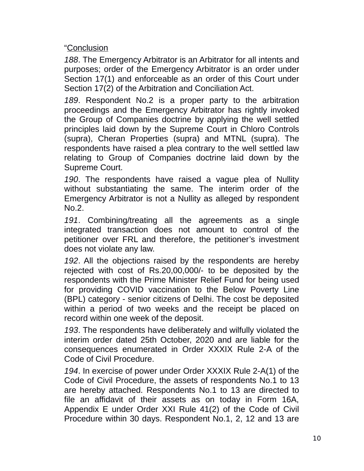"Conclusion

*188*. The Emergency Arbitrator is an Arbitrator for all intents and purposes; order of the Emergency Arbitrator is an order under Section 17(1) and enforceable as an order of this Court under Section 17(2) of the Arbitration and Conciliation Act.

*189*. Respondent No.2 is a proper party to the arbitration proceedings and the Emergency Arbitrator has rightly invoked the Group of Companies doctrine by applying the well settled principles laid down by the Supreme Court in Chloro Controls (supra), Cheran Properties (supra) and MTNL (supra). The respondents have raised a plea contrary to the well settled law relating to Group of Companies doctrine laid down by the Supreme Court.

*190*. The respondents have raised a vague plea of Nullity without substantiating the same. The interim order of the Emergency Arbitrator is not a Nullity as alleged by respondent No.2.

*191*. Combining/treating all the agreements as a single integrated transaction does not amount to control of the petitioner over FRL and therefore, the petitioner's investment does not violate any law.

*192*. All the objections raised by the respondents are hereby rejected with cost of Rs.20,00,000/- to be deposited by the respondents with the Prime Minister Relief Fund for being used for providing COVID vaccination to the Below Poverty Line (BPL) category - senior citizens of Delhi. The cost be deposited within a period of two weeks and the receipt be placed on record within one week of the deposit.

*193*. The respondents have deliberately and wilfully violated the interim order dated 25th October, 2020 and are liable for the consequences enumerated in Order XXXIX Rule 2-A of the Code of Civil Procedure.

*194*. In exercise of power under Order XXXIX Rule 2-A(1) of the Code of Civil Procedure, the assets of respondents No.1 to 13 are hereby attached. Respondents No.1 to 13 are directed to file an affidavit of their assets as on today in Form 16A, Appendix E under Order XXI Rule 41(2) of the Code of Civil Procedure within 30 days. Respondent No.1, 2, 12 and 13 are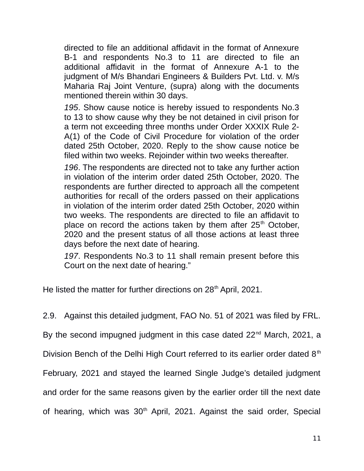directed to file an additional affidavit in the format of Annexure B-1 and respondents No.3 to 11 are directed to file an additional affidavit in the format of Annexure A-1 to the judgment of M/s Bhandari Engineers & Builders Pvt. Ltd. v. M/s Maharia Raj Joint Venture, (supra) along with the documents mentioned therein within 30 days.

*195*. Show cause notice is hereby issued to respondents No.3 to 13 to show cause why they be not detained in civil prison for a term not exceeding three months under Order XXXIX Rule 2- A(1) of the Code of Civil Procedure for violation of the order dated 25th October, 2020. Reply to the show cause notice be filed within two weeks. Rejoinder within two weeks thereafter.

*196*. The respondents are directed not to take any further action in violation of the interim order dated 25th October, 2020. The respondents are further directed to approach all the competent authorities for recall of the orders passed on their applications in violation of the interim order dated 25th October, 2020 within two weeks. The respondents are directed to file an affidavit to place on record the actions taken by them after  $25<sup>th</sup>$  October, 2020 and the present status of all those actions at least three days before the next date of hearing.

*197*. Respondents No.3 to 11 shall remain present before this Court on the next date of hearing."

He listed the matter for further directions on 28<sup>th</sup> April, 2021.

2.9. Against this detailed judgment, FAO No. 51 of 2021 was filed by FRL.

By the second impugned judgment in this case dated 22<sup>nd</sup> March, 2021, a

Division Bench of the Delhi High Court referred to its earlier order dated 8<sup>th</sup>

February, 2021 and stayed the learned Single Judge's detailed judgment

and order for the same reasons given by the earlier order till the next date

of hearing, which was  $30<sup>th</sup>$  April, 2021. Against the said order, Special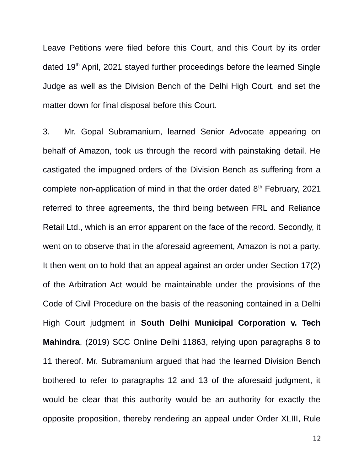Leave Petitions were filed before this Court, and this Court by its order dated 19<sup>th</sup> April, 2021 stayed further proceedings before the learned Single Judge as well as the Division Bench of the Delhi High Court, and set the matter down for final disposal before this Court.

3. Mr. Gopal Subramanium, learned Senior Advocate appearing on behalf of Amazon, took us through the record with painstaking detail. He castigated the impugned orders of the Division Bench as suffering from a complete non-application of mind in that the order dated  $8<sup>th</sup>$  February, 2021 referred to three agreements, the third being between FRL and Reliance Retail Ltd., which is an error apparent on the face of the record. Secondly, it went on to observe that in the aforesaid agreement, Amazon is not a party. It then went on to hold that an appeal against an order under Section 17(2) of the Arbitration Act would be maintainable under the provisions of the Code of Civil Procedure on the basis of the reasoning contained in a Delhi High Court judgment in **South Delhi Municipal Corporation v. Tech Mahindra**, (2019) SCC Online Delhi 11863, relying upon paragraphs 8 to 11 thereof. Mr. Subramanium argued that had the learned Division Bench bothered to refer to paragraphs 12 and 13 of the aforesaid judgment, it would be clear that this authority would be an authority for exactly the opposite proposition, thereby rendering an appeal under Order XLIII, Rule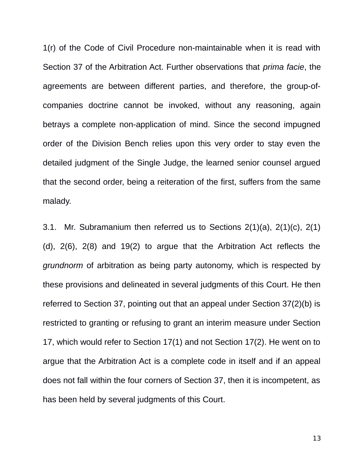1(r) of the Code of Civil Procedure non-maintainable when it is read with Section 37 of the Arbitration Act. Further observations that *prima facie*, the agreements are between different parties, and therefore, the group-ofcompanies doctrine cannot be invoked, without any reasoning, again betrays a complete non-application of mind. Since the second impugned order of the Division Bench relies upon this very order to stay even the detailed judgment of the Single Judge, the learned senior counsel argued that the second order, being a reiteration of the first, suffers from the same malady.

3.1. Mr. Subramanium then referred us to Sections 2(1)(a), 2(1)(c), 2(1) (d), 2(6), 2(8) and 19(2) to argue that the Arbitration Act reflects the *grundnorm* of arbitration as being party autonomy, which is respected by these provisions and delineated in several judgments of this Court. He then referred to Section 37, pointing out that an appeal under Section 37(2)(b) is restricted to granting or refusing to grant an interim measure under Section 17, which would refer to Section 17(1) and not Section 17(2). He went on to argue that the Arbitration Act is a complete code in itself and if an appeal does not fall within the four corners of Section 37, then it is incompetent, as has been held by several judgments of this Court.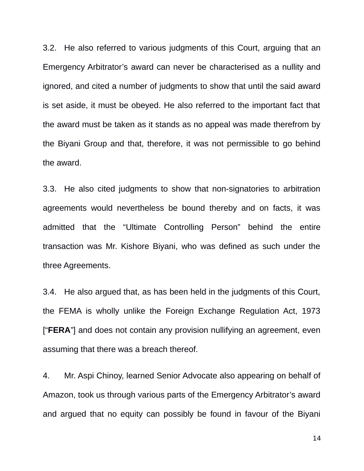3.2. He also referred to various judgments of this Court, arguing that an Emergency Arbitrator's award can never be characterised as a nullity and ignored, and cited a number of judgments to show that until the said award is set aside, it must be obeyed. He also referred to the important fact that the award must be taken as it stands as no appeal was made therefrom by the Biyani Group and that, therefore, it was not permissible to go behind the award.

3.3. He also cited judgments to show that non-signatories to arbitration agreements would nevertheless be bound thereby and on facts, it was admitted that the "Ultimate Controlling Person" behind the entire transaction was Mr. Kishore Biyani, who was defined as such under the three Agreements.

3.4. He also argued that, as has been held in the judgments of this Court, the FEMA is wholly unlike the Foreign Exchange Regulation Act, 1973 ["**FERA**"] and does not contain any provision nullifying an agreement, even assuming that there was a breach thereof.

4. Mr. Aspi Chinoy, learned Senior Advocate also appearing on behalf of Amazon, took us through various parts of the Emergency Arbitrator's award and argued that no equity can possibly be found in favour of the Biyani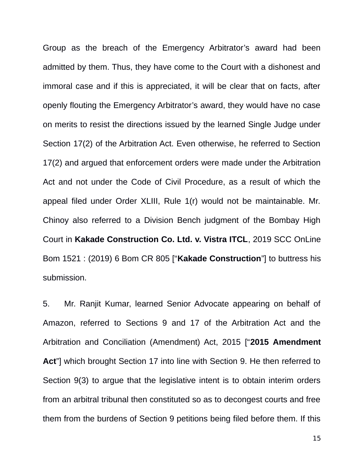Group as the breach of the Emergency Arbitrator's award had been admitted by them. Thus, they have come to the Court with a dishonest and immoral case and if this is appreciated, it will be clear that on facts, after openly flouting the Emergency Arbitrator's award, they would have no case on merits to resist the directions issued by the learned Single Judge under Section 17(2) of the Arbitration Act. Even otherwise, he referred to Section 17(2) and argued that enforcement orders were made under the Arbitration Act and not under the Code of Civil Procedure, as a result of which the appeal filed under Order XLIII, Rule 1(r) would not be maintainable. Mr. Chinoy also referred to a Division Bench judgment of the Bombay High Court in **Kakade Construction Co. Ltd. v. Vistra ITCL**, 2019 SCC OnLine Bom 1521 : (2019) 6 Bom CR 805 ["**Kakade Construction**"] to buttress his submission.

5. Mr. Ranjit Kumar, learned Senior Advocate appearing on behalf of Amazon, referred to Sections 9 and 17 of the Arbitration Act and the Arbitration and Conciliation (Amendment) Act, 2015 ["**2015 Amendment Act**"] which brought Section 17 into line with Section 9. He then referred to Section 9(3) to argue that the legislative intent is to obtain interim orders from an arbitral tribunal then constituted so as to decongest courts and free them from the burdens of Section 9 petitions being filed before them. If this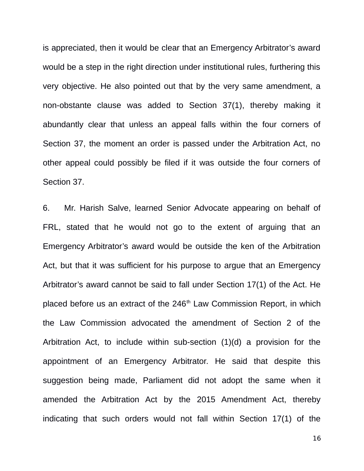is appreciated, then it would be clear that an Emergency Arbitrator's award would be a step in the right direction under institutional rules, furthering this very objective. He also pointed out that by the very same amendment, a non-obstante clause was added to Section 37(1), thereby making it abundantly clear that unless an appeal falls within the four corners of Section 37, the moment an order is passed under the Arbitration Act, no other appeal could possibly be filed if it was outside the four corners of Section 37.

6. Mr. Harish Salve, learned Senior Advocate appearing on behalf of FRL, stated that he would not go to the extent of arguing that an Emergency Arbitrator's award would be outside the ken of the Arbitration Act, but that it was sufficient for his purpose to argue that an Emergency Arbitrator's award cannot be said to fall under Section 17(1) of the Act. He placed before us an extract of the 246<sup>th</sup> Law Commission Report, in which the Law Commission advocated the amendment of Section 2 of the Arbitration Act, to include within sub-section (1)(d) a provision for the appointment of an Emergency Arbitrator. He said that despite this suggestion being made, Parliament did not adopt the same when it amended the Arbitration Act by the 2015 Amendment Act, thereby indicating that such orders would not fall within Section 17(1) of the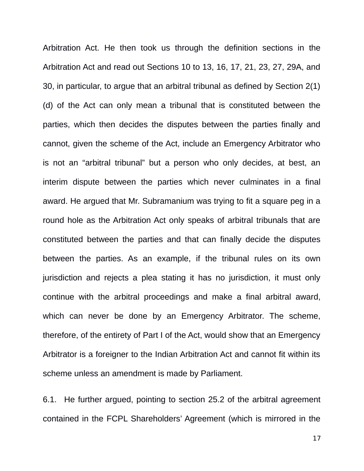Arbitration Act. He then took us through the definition sections in the Arbitration Act and read out Sections 10 to 13, 16, 17, 21, 23, 27, 29A, and 30, in particular, to argue that an arbitral tribunal as defined by Section 2(1) (d) of the Act can only mean a tribunal that is constituted between the parties, which then decides the disputes between the parties finally and cannot, given the scheme of the Act, include an Emergency Arbitrator who is not an "arbitral tribunal" but a person who only decides, at best, an interim dispute between the parties which never culminates in a final award. He argued that Mr. Subramanium was trying to fit a square peg in a round hole as the Arbitration Act only speaks of arbitral tribunals that are constituted between the parties and that can finally decide the disputes between the parties. As an example, if the tribunal rules on its own jurisdiction and rejects a plea stating it has no jurisdiction, it must only continue with the arbitral proceedings and make a final arbitral award, which can never be done by an Emergency Arbitrator. The scheme, therefore, of the entirety of Part I of the Act, would show that an Emergency Arbitrator is a foreigner to the Indian Arbitration Act and cannot fit within its scheme unless an amendment is made by Parliament.

6.1. He further argued, pointing to section 25.2 of the arbitral agreement contained in the FCPL Shareholders' Agreement (which is mirrored in the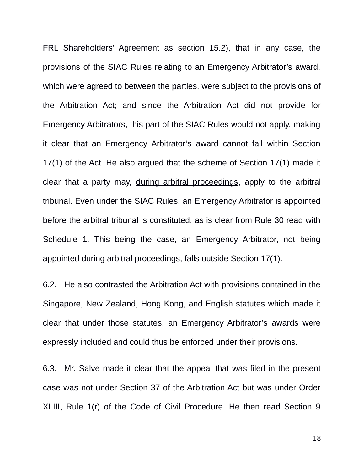FRL Shareholders' Agreement as section 15.2), that in any case, the provisions of the SIAC Rules relating to an Emergency Arbitrator's award, which were agreed to between the parties, were subject to the provisions of the Arbitration Act; and since the Arbitration Act did not provide for Emergency Arbitrators, this part of the SIAC Rules would not apply, making it clear that an Emergency Arbitrator's award cannot fall within Section 17(1) of the Act. He also argued that the scheme of Section 17(1) made it clear that a party may, during arbitral proceedings, apply to the arbitral tribunal. Even under the SIAC Rules, an Emergency Arbitrator is appointed before the arbitral tribunal is constituted, as is clear from Rule 30 read with Schedule 1. This being the case, an Emergency Arbitrator, not being appointed during arbitral proceedings, falls outside Section 17(1).

6.2. He also contrasted the Arbitration Act with provisions contained in the Singapore, New Zealand, Hong Kong, and English statutes which made it clear that under those statutes, an Emergency Arbitrator's awards were expressly included and could thus be enforced under their provisions.

6.3. Mr. Salve made it clear that the appeal that was filed in the present case was not under Section 37 of the Arbitration Act but was under Order XLIII, Rule 1(r) of the Code of Civil Procedure. He then read Section 9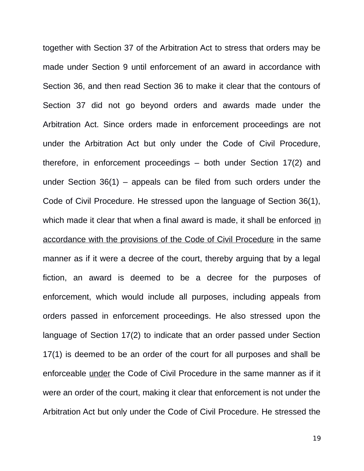together with Section 37 of the Arbitration Act to stress that orders may be made under Section 9 until enforcement of an award in accordance with Section 36, and then read Section 36 to make it clear that the contours of Section 37 did not go beyond orders and awards made under the Arbitration Act. Since orders made in enforcement proceedings are not under the Arbitration Act but only under the Code of Civil Procedure, therefore, in enforcement proceedings – both under Section 17(2) and under Section  $36(1)$  – appeals can be filed from such orders under the Code of Civil Procedure. He stressed upon the language of Section 36(1), which made it clear that when a final award is made, it shall be enforced in accordance with the provisions of the Code of Civil Procedure in the same manner as if it were a decree of the court, thereby arguing that by a legal fiction, an award is deemed to be a decree for the purposes of enforcement, which would include all purposes, including appeals from orders passed in enforcement proceedings. He also stressed upon the language of Section 17(2) to indicate that an order passed under Section 17(1) is deemed to be an order of the court for all purposes and shall be enforceable under the Code of Civil Procedure in the same manner as if it were an order of the court, making it clear that enforcement is not under the Arbitration Act but only under the Code of Civil Procedure. He stressed the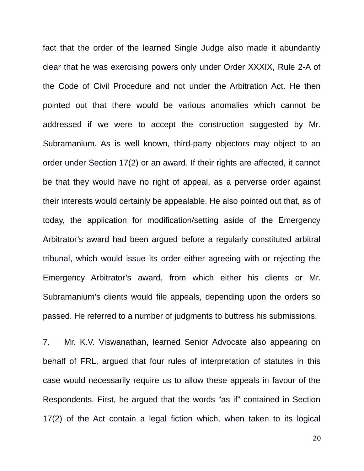fact that the order of the learned Single Judge also made it abundantly clear that he was exercising powers only under Order XXXIX, Rule 2-A of the Code of Civil Procedure and not under the Arbitration Act. He then pointed out that there would be various anomalies which cannot be addressed if we were to accept the construction suggested by Mr. Subramanium. As is well known, third-party objectors may object to an order under Section 17(2) or an award. If their rights are affected, it cannot be that they would have no right of appeal, as a perverse order against their interests would certainly be appealable. He also pointed out that, as of today, the application for modification/setting aside of the Emergency Arbitrator's award had been argued before a regularly constituted arbitral tribunal, which would issue its order either agreeing with or rejecting the Emergency Arbitrator's award, from which either his clients or Mr. Subramanium's clients would file appeals, depending upon the orders so passed. He referred to a number of judgments to buttress his submissions.

7. Mr. K.V. Viswanathan, learned Senior Advocate also appearing on behalf of FRL, argued that four rules of interpretation of statutes in this case would necessarily require us to allow these appeals in favour of the Respondents. First, he argued that the words "as if" contained in Section 17(2) of the Act contain a legal fiction which, when taken to its logical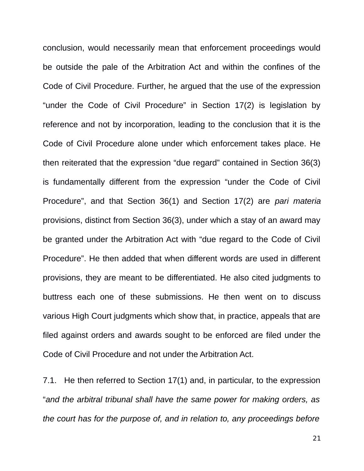conclusion, would necessarily mean that enforcement proceedings would be outside the pale of the Arbitration Act and within the confines of the Code of Civil Procedure. Further, he argued that the use of the expression "under the Code of Civil Procedure" in Section 17(2) is legislation by reference and not by incorporation, leading to the conclusion that it is the Code of Civil Procedure alone under which enforcement takes place. He then reiterated that the expression "due regard" contained in Section 36(3) is fundamentally different from the expression "under the Code of Civil Procedure", and that Section 36(1) and Section 17(2) are *pari materia* provisions, distinct from Section 36(3), under which a stay of an award may be granted under the Arbitration Act with "due regard to the Code of Civil Procedure". He then added that when different words are used in different provisions, they are meant to be differentiated. He also cited judgments to buttress each one of these submissions. He then went on to discuss various High Court judgments which show that, in practice, appeals that are filed against orders and awards sought to be enforced are filed under the Code of Civil Procedure and not under the Arbitration Act.

7.1. He then referred to Section 17(1) and, in particular, to the expression "*and the arbitral tribunal shall have the same power for making orders, as the court has for the purpose of, and in relation to, any proceedings before*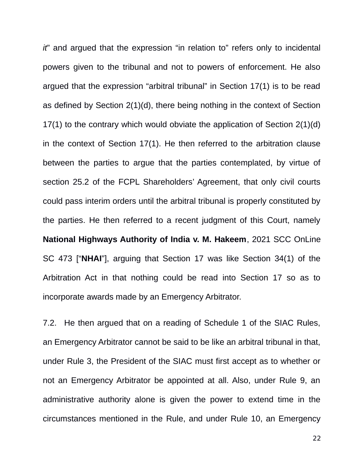*it*" and argued that the expression "in relation to" refers only to incidental powers given to the tribunal and not to powers of enforcement. He also argued that the expression "arbitral tribunal" in Section 17(1) is to be read as defined by Section 2(1)(d), there being nothing in the context of Section 17(1) to the contrary which would obviate the application of Section 2(1)(d) in the context of Section 17(1). He then referred to the arbitration clause between the parties to argue that the parties contemplated, by virtue of section 25.2 of the FCPL Shareholders' Agreement, that only civil courts could pass interim orders until the arbitral tribunal is properly constituted by the parties. He then referred to a recent judgment of this Court, namely **National Highways Authority of India v. M. Hakeem**, 2021 SCC OnLine SC 473 ["**NHAI**"], arguing that Section 17 was like Section 34(1) of the Arbitration Act in that nothing could be read into Section 17 so as to incorporate awards made by an Emergency Arbitrator.

7.2. He then argued that on a reading of Schedule 1 of the SIAC Rules, an Emergency Arbitrator cannot be said to be like an arbitral tribunal in that, under Rule 3, the President of the SIAC must first accept as to whether or not an Emergency Arbitrator be appointed at all. Also, under Rule 9, an administrative authority alone is given the power to extend time in the circumstances mentioned in the Rule, and under Rule 10, an Emergency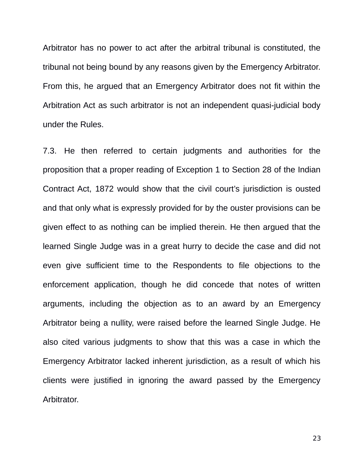Arbitrator has no power to act after the arbitral tribunal is constituted, the tribunal not being bound by any reasons given by the Emergency Arbitrator. From this, he argued that an Emergency Arbitrator does not fit within the Arbitration Act as such arbitrator is not an independent quasi-judicial body under the Rules.

7.3. He then referred to certain judgments and authorities for the proposition that a proper reading of Exception 1 to Section 28 of the Indian Contract Act, 1872 would show that the civil court's jurisdiction is ousted and that only what is expressly provided for by the ouster provisions can be given effect to as nothing can be implied therein. He then argued that the learned Single Judge was in a great hurry to decide the case and did not even give sufficient time to the Respondents to file objections to the enforcement application, though he did concede that notes of written arguments, including the objection as to an award by an Emergency Arbitrator being a nullity, were raised before the learned Single Judge. He also cited various judgments to show that this was a case in which the Emergency Arbitrator lacked inherent jurisdiction, as a result of which his clients were justified in ignoring the award passed by the Emergency Arbitrator.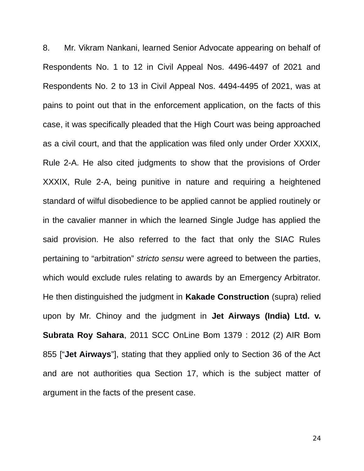8. Mr. Vikram Nankani, learned Senior Advocate appearing on behalf of Respondents No. 1 to 12 in Civil Appeal Nos. 4496-4497 of 2021 and Respondents No. 2 to 13 in Civil Appeal Nos. 4494-4495 of 2021, was at pains to point out that in the enforcement application, on the facts of this case, it was specifically pleaded that the High Court was being approached as a civil court, and that the application was filed only under Order XXXIX, Rule 2-A. He also cited judgments to show that the provisions of Order XXXIX, Rule 2-A, being punitive in nature and requiring a heightened standard of wilful disobedience to be applied cannot be applied routinely or in the cavalier manner in which the learned Single Judge has applied the said provision. He also referred to the fact that only the SIAC Rules pertaining to "arbitration" *stricto sensu* were agreed to between the parties, which would exclude rules relating to awards by an Emergency Arbitrator. He then distinguished the judgment in **Kakade Construction** (supra) relied upon by Mr. Chinoy and the judgment in **Jet Airways (India) Ltd. v. Subrata Roy Sahara**, 2011 SCC OnLine Bom 1379 : 2012 (2) AIR Bom 855 ["**Jet Airways**"], stating that they applied only to Section 36 of the Act and are not authorities qua Section 17, which is the subject matter of argument in the facts of the present case.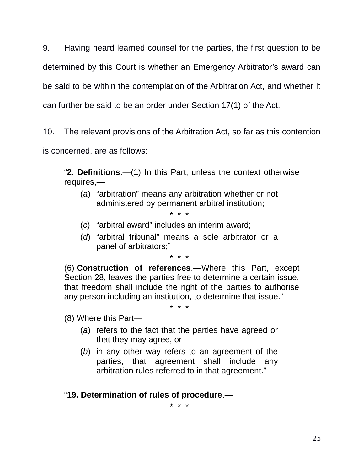9. Having heard learned counsel for the parties, the first question to be determined by this Court is whether an Emergency Arbitrator's award can be said to be within the contemplation of the Arbitration Act, and whether it can further be said to be an order under Section 17(1) of the Act.

10. The relevant provisions of the Arbitration Act, so far as this contention is concerned, are as follows:

"**2. Definitions**.—(1) In this Part, unless the context otherwise requires,—

(*a*) "arbitration" means any arbitration whether or not administered by permanent arbitral institution;

\* \* \*

- (*c*) "arbitral award" includes an interim award;
- (*d*) "arbitral tribunal" means a sole arbitrator or a panel of arbitrators;"

\* \* \*

(6) **Construction of references**.—Where this Part, except Section 28, leaves the parties free to determine a certain issue, that freedom shall include the right of the parties to authorise any person including an institution, to determine that issue."

\* \* \*

(8) Where this Part—

- (*a*) refers to the fact that the parties have agreed or that they may agree, or
- (*b*) in any other way refers to an agreement of the parties, that agreement shall include any arbitration rules referred to in that agreement."

"**19. Determination of rules of procedure**.—

\* \* \*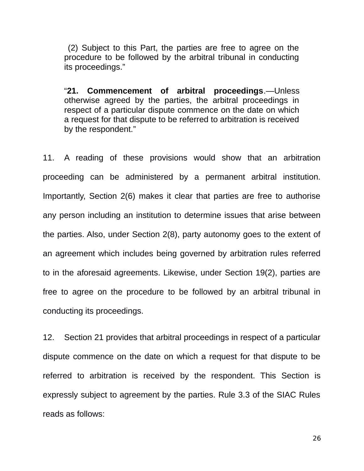(2) Subject to this Part, the parties are free to agree on the procedure to be followed by the arbitral tribunal in conducting its proceedings."

"**21. Commencement of arbitral proceedings**.—Unless otherwise agreed by the parties, the arbitral proceedings in respect of a particular dispute commence on the date on which a request for that dispute to be referred to arbitration is received by the respondent."

11. A reading of these provisions would show that an arbitration proceeding can be administered by a permanent arbitral institution. Importantly, Section 2(6) makes it clear that parties are free to authorise any person including an institution to determine issues that arise between the parties. Also, under Section 2(8), party autonomy goes to the extent of an agreement which includes being governed by arbitration rules referred to in the aforesaid agreements. Likewise, under Section 19(2), parties are free to agree on the procedure to be followed by an arbitral tribunal in conducting its proceedings.

12. Section 21 provides that arbitral proceedings in respect of a particular dispute commence on the date on which a request for that dispute to be referred to arbitration is received by the respondent. This Section is expressly subject to agreement by the parties. Rule 3.3 of the SIAC Rules reads as follows: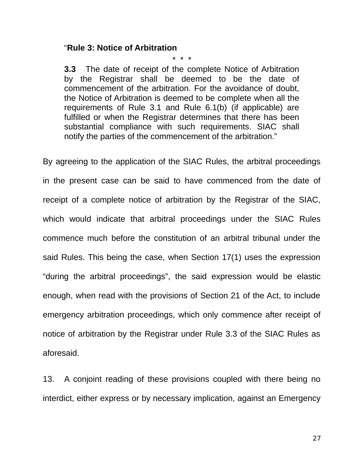### "**Rule 3: Notice of Arbitration**

\* \* \*

**3.3** The date of receipt of the complete Notice of Arbitration by the Registrar shall be deemed to be the date of commencement of the arbitration. For the avoidance of doubt, the Notice of Arbitration is deemed to be complete when all the requirements of Rule 3.1 and Rule 6.1(b) (if applicable) are fulfilled or when the Registrar determines that there has been substantial compliance with such requirements. SIAC shall notify the parties of the commencement of the arbitration."

By agreeing to the application of the SIAC Rules, the arbitral proceedings in the present case can be said to have commenced from the date of receipt of a complete notice of arbitration by the Registrar of the SIAC, which would indicate that arbitral proceedings under the SIAC Rules commence much before the constitution of an arbitral tribunal under the said Rules. This being the case, when Section 17(1) uses the expression "during the arbitral proceedings", the said expression would be elastic enough, when read with the provisions of Section 21 of the Act, to include emergency arbitration proceedings, which only commence after receipt of notice of arbitration by the Registrar under Rule 3.3 of the SIAC Rules as aforesaid.

13. A conjoint reading of these provisions coupled with there being no interdict, either express or by necessary implication, against an Emergency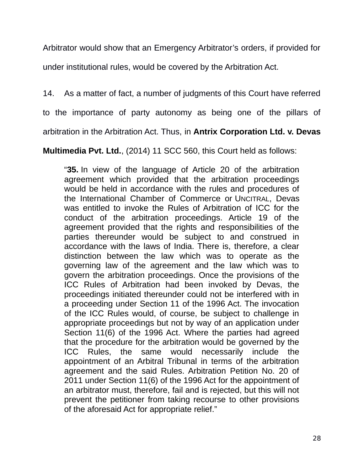Arbitrator would show that an Emergency Arbitrator's orders, if provided for

under institutional rules, would be covered by the Arbitration Act.

14. As a matter of fact, a number of judgments of this Court have referred

to the importance of party autonomy as being one of the pillars of

arbitration in the Arbitration Act. Thus, in **Antrix Corporation Ltd. v. Devas**

**Multimedia Pvt. Ltd.**, (2014) 11 SCC 560, this Court held as follows:

"**35.** In view of the language of Article 20 of the arbitration agreement which provided that the arbitration proceedings would be held in accordance with the rules and procedures of the International Chamber of Commerce or UNCITRAL, Devas was entitled to invoke the Rules of Arbitration of ICC for the conduct of the arbitration proceedings. Article 19 of the agreement provided that the rights and responsibilities of the parties thereunder would be subject to and construed in accordance with the laws of India. There is, therefore, a clear distinction between the law which was to operate as the governing law of the agreement and the law which was to govern the arbitration proceedings. Once the provisions of the ICC Rules of Arbitration had been invoked by Devas, the proceedings initiated thereunder could not be interfered with in a proceeding under Section 11 of the 1996 Act. The invocation of the ICC Rules would, of course, be subject to challenge in appropriate proceedings but not by way of an application under Section 11(6) of the 1996 Act. Where the parties had agreed that the procedure for the arbitration would be governed by the ICC Rules, the same would necessarily include the appointment of an Arbitral Tribunal in terms of the arbitration agreement and the said Rules. Arbitration Petition No. 20 of 2011 under Section 11(6) of the 1996 Act for the appointment of an arbitrator must, therefore, fail and is rejected, but this will not prevent the petitioner from taking recourse to other provisions of the aforesaid Act for appropriate relief."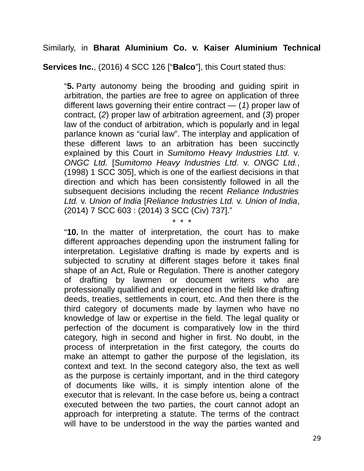Similarly, in **Bharat Aluminium Co. v. Kaiser Aluminium Technical**

**Services Inc.**, (2016) 4 SCC 126 ["**Balco**"], this Court stated thus:

"**5.** Party autonomy being the brooding and guiding spirit in arbitration, the parties are free to agree on application of three different laws governing their entire contract — (*1*) proper law of contract, (*2*) proper law of arbitration agreement, and (*3*) proper law of the conduct of arbitration, which is popularly and in legal parlance known as "curial law". The interplay and application of these different laws to an arbitration has been succinctly explained by this Court in *Sumitomo Heavy Industries Ltd.* v. *ONGC Ltd.* [*Sumitomo Heavy Industries Ltd.* v. *ONGC Ltd.*, (1998) 1 SCC 305], which is one of the earliest decisions in that direction and which has been consistently followed in all the subsequent decisions including the recent *Reliance Industries Ltd.* v. *Union of India* [*Reliance Industries Ltd.* v. *Union of India*, (2014) 7 SCC 603 : (2014) 3 SCC (Civ) 737]."

\* \* \*

"**10.** In the matter of interpretation, the court has to make different approaches depending upon the instrument falling for interpretation. Legislative drafting is made by experts and is subjected to scrutiny at different stages before it takes final shape of an Act, Rule or Regulation. There is another category of drafting by lawmen or document writers who are professionally qualified and experienced in the field like drafting deeds, treaties, settlements in court, etc. And then there is the third category of documents made by laymen who have no knowledge of law or expertise in the field. The legal quality or perfection of the document is comparatively low in the third category, high in second and higher in first. No doubt, in the process of interpretation in the first category, the courts do make an attempt to gather the purpose of the legislation, its context and text. In the second category also, the text as well as the purpose is certainly important, and in the third category of documents like wills, it is simply intention alone of the executor that is relevant. In the case before us, being a contract executed between the two parties, the court cannot adopt an approach for interpreting a statute. The terms of the contract will have to be understood in the way the parties wanted and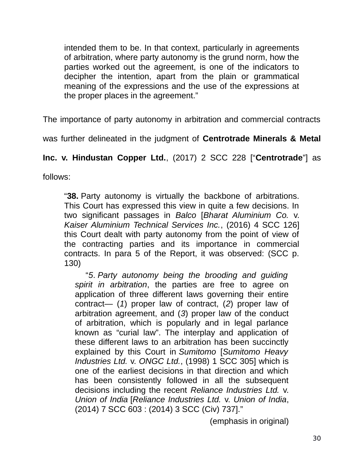intended them to be. In that context, particularly in agreements of arbitration, where party autonomy is the grund norm, how the parties worked out the agreement, is one of the indicators to decipher the intention, apart from the plain or grammatical meaning of the expressions and the use of the expressions at the proper places in the agreement."

The importance of party autonomy in arbitration and commercial contracts

was further delineated in the judgment of **Centrotrade Minerals & Metal**

**Inc. v. Hindustan Copper Ltd.**, (2017) 2 SCC 228 ["**Centrotrade**"] as

follows:

"**38.** Party autonomy is virtually the backbone of arbitrations. This Court has expressed this view in quite a few decisions. In two significant passages in *Balco* [*Bharat Aluminium Co.* v. *Kaiser Aluminium Technical Services Inc.*, (2016) 4 SCC 126] this Court dealt with party autonomy from the point of view of the contracting parties and its importance in commercial contracts. In para 5 of the Report, it was observed: (SCC p. 130)

"*5*. *Party autonomy being the brooding and guiding spirit in arbitration*, the parties are free to agree on application of three different laws governing their entire contract— (*1*) proper law of contract, (*2*) proper law of arbitration agreement, and (*3*) proper law of the conduct of arbitration, which is popularly and in legal parlance known as "curial law". The interplay and application of these different laws to an arbitration has been succinctly explained by this Court in *Sumitomo* [*Sumitomo Heavy Industries Ltd.* v. *ONGC Ltd.*, (1998) 1 SCC 305] which is one of the earliest decisions in that direction and which has been consistently followed in all the subsequent decisions including the recent *Reliance Industries Ltd.* v. *Union of India* [*Reliance Industries Ltd.* v. *Union of India*, (2014) 7 SCC 603 : (2014) 3 SCC (Civ) 737]."

(emphasis in original)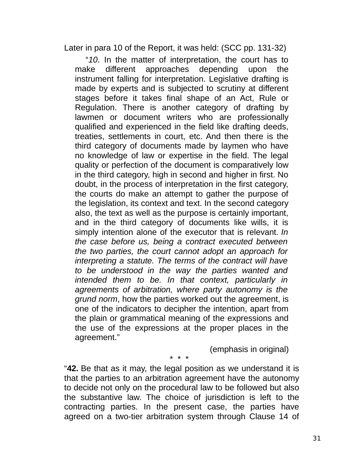Later in para 10 of the Report, it was held: (SCC pp. 131-32)

"*10*. In the matter of interpretation, the court has to make different approaches depending upon the instrument falling for interpretation. Legislative drafting is made by experts and is subjected to scrutiny at different stages before it takes final shape of an Act, Rule or Regulation. There is another category of drafting by lawmen or document writers who are professionally qualified and experienced in the field like drafting deeds, treaties, settlements in court, etc. And then there is the third category of documents made by laymen who have no knowledge of law or expertise in the field. The legal quality or perfection of the document is comparatively low in the third category, high in second and higher in first. No doubt, in the process of interpretation in the first category, the courts do make an attempt to gather the purpose of the legislation, its context and text. In the second category also, the text as well as the purpose is certainly important, and in the third category of documents like wills, it is simply intention alone of the executor that is relevant. *In the case before us, being a contract executed between the two parties, the court cannot adopt an approach for interpreting a statute. The terms of the contract will have to be understood in the way the parties wanted and intended them to be. In that context, particularly in agreements of arbitration, where party autonomy is the grund norm*, how the parties worked out the agreement, is one of the indicators to decipher the intention, apart from the plain or grammatical meaning of the expressions and the use of the expressions at the proper places in the agreement."

(emphasis in original)

\* \* \*

"**42.** Be that as it may, the legal position as we understand it is that the parties to an arbitration agreement have the autonomy to decide not only on the procedural law to be followed but also the substantive law. The choice of jurisdiction is left to the contracting parties. In the present case, the parties have agreed on a two-tier arbitration system through Clause 14 of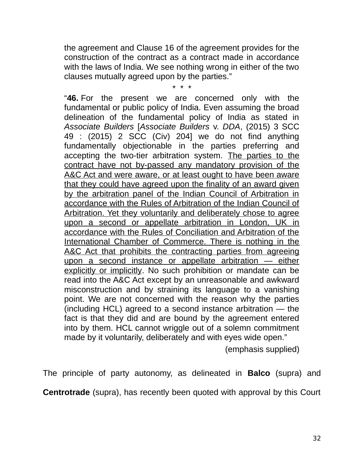the agreement and Clause 16 of the agreement provides for the construction of the contract as a contract made in accordance with the laws of India. We see nothing wrong in either of the two clauses mutually agreed upon by the parties."

\* \* \*

"**46.** For the present we are concerned only with the fundamental or public policy of India. Even assuming the broad delineation of the fundamental policy of India as stated in *Associate Builders* [*Associate Builders* v. *DDA*, (2015) 3 SCC 49 : (2015) 2 SCC (Civ) 204] we do not find anything fundamentally objectionable in the parties preferring and accepting the two-tier arbitration system. The parties to the contract have not by-passed any mandatory provision of the A&C Act and were aware, or at least ought to have been aware that they could have agreed upon the finality of an award given by the arbitration panel of the Indian Council of Arbitration in accordance with the Rules of Arbitration of the Indian Council of Arbitration. Yet they voluntarily and deliberately chose to agree upon a second or appellate arbitration in London, UK in accordance with the Rules of Conciliation and Arbitration of the International Chamber of Commerce. There is nothing in the A&C Act that prohibits the contracting parties from agreeing upon a second instance or appellate arbitration — either explicitly or implicitly. No such prohibition or mandate can be read into the A&C Act except by an unreasonable and awkward misconstruction and by straining its language to a vanishing point. We are not concerned with the reason why the parties (including HCL) agreed to a second instance arbitration — the fact is that they did and are bound by the agreement entered into by them. HCL cannot wriggle out of a solemn commitment made by it voluntarily, deliberately and with eyes wide open."

(emphasis supplied)

The principle of party autonomy, as delineated in **Balco** (supra) and

**Centrotrade** (supra), has recently been quoted with approval by this Court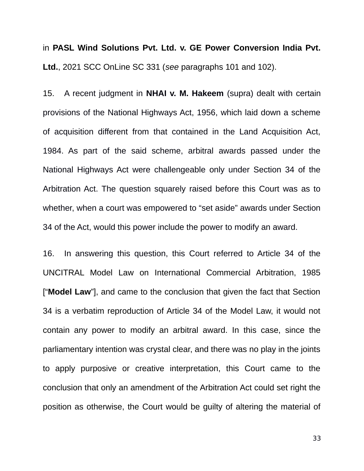in **PASL Wind Solutions Pvt. Ltd. v. GE Power Conversion India Pvt. Ltd.**, 2021 SCC OnLine SC 331 (*see* paragraphs 101 and 102).

15. A recent judgment in **NHAI v. M. Hakeem** (supra) dealt with certain provisions of the National Highways Act, 1956, which laid down a scheme of acquisition different from that contained in the Land Acquisition Act, 1984. As part of the said scheme, arbitral awards passed under the National Highways Act were challengeable only under Section 34 of the Arbitration Act. The question squarely raised before this Court was as to whether, when a court was empowered to "set aside" awards under Section 34 of the Act, would this power include the power to modify an award.

16. In answering this question, this Court referred to Article 34 of the UNCITRAL Model Law on International Commercial Arbitration, 1985 ["**Model Law**"], and came to the conclusion that given the fact that Section 34 is a verbatim reproduction of Article 34 of the Model Law, it would not contain any power to modify an arbitral award. In this case, since the parliamentary intention was crystal clear, and there was no play in the joints to apply purposive or creative interpretation, this Court came to the conclusion that only an amendment of the Arbitration Act could set right the position as otherwise, the Court would be guilty of altering the material of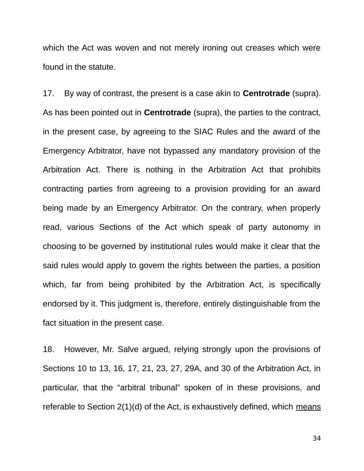which the Act was woven and not merely ironing out creases which were found in the statute.

17. By way of contrast, the present is a case akin to **Centrotrade** (supra). As has been pointed out in **Centrotrade** (supra), the parties to the contract, in the present case, by agreeing to the SIAC Rules and the award of the Emergency Arbitrator, have not bypassed any mandatory provision of the Arbitration Act. There is nothing in the Arbitration Act that prohibits contracting parties from agreeing to a provision providing for an award being made by an Emergency Arbitrator. On the contrary, when properly read, various Sections of the Act which speak of party autonomy in choosing to be governed by institutional rules would make it clear that the said rules would apply to govern the rights between the parties, a position which, far from being prohibited by the Arbitration Act, is specifically endorsed by it. This judgment is, therefore, entirely distinguishable from the fact situation in the present case.

18. However, Mr. Salve argued, relying strongly upon the provisions of Sections 10 to 13, 16, 17, 21, 23, 27, 29A, and 30 of the Arbitration Act, in particular, that the "arbitral tribunal" spoken of in these provisions, and referable to Section 2(1)(d) of the Act, is exhaustively defined, which means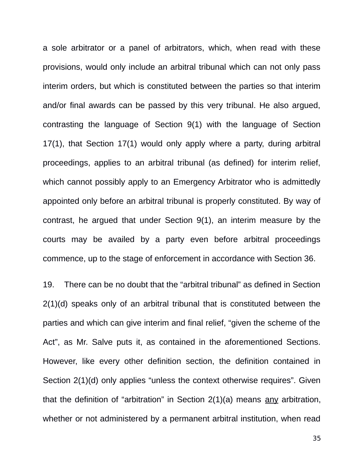a sole arbitrator or a panel of arbitrators, which, when read with these provisions, would only include an arbitral tribunal which can not only pass interim orders, but which is constituted between the parties so that interim and/or final awards can be passed by this very tribunal. He also argued, contrasting the language of Section 9(1) with the language of Section 17(1), that Section 17(1) would only apply where a party, during arbitral proceedings, applies to an arbitral tribunal (as defined) for interim relief, which cannot possibly apply to an Emergency Arbitrator who is admittedly appointed only before an arbitral tribunal is properly constituted. By way of contrast, he argued that under Section 9(1), an interim measure by the courts may be availed by a party even before arbitral proceedings commence, up to the stage of enforcement in accordance with Section 36.

19. There can be no doubt that the "arbitral tribunal" as defined in Section 2(1)(d) speaks only of an arbitral tribunal that is constituted between the parties and which can give interim and final relief, "given the scheme of the Act", as Mr. Salve puts it, as contained in the aforementioned Sections. However, like every other definition section, the definition contained in Section 2(1)(d) only applies "unless the context otherwise requires". Given that the definition of "arbitration" in Section 2(1)(a) means any arbitration, whether or not administered by a permanent arbitral institution, when read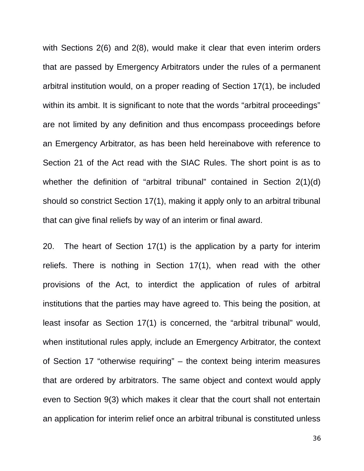with Sections 2(6) and 2(8), would make it clear that even interim orders that are passed by Emergency Arbitrators under the rules of a permanent arbitral institution would, on a proper reading of Section 17(1), be included within its ambit. It is significant to note that the words "arbitral proceedings" are not limited by any definition and thus encompass proceedings before an Emergency Arbitrator, as has been held hereinabove with reference to Section 21 of the Act read with the SIAC Rules. The short point is as to whether the definition of "arbitral tribunal" contained in Section 2(1)(d) should so constrict Section 17(1), making it apply only to an arbitral tribunal that can give final reliefs by way of an interim or final award.

20. The heart of Section 17(1) is the application by a party for interim reliefs. There is nothing in Section 17(1), when read with the other provisions of the Act, to interdict the application of rules of arbitral institutions that the parties may have agreed to. This being the position, at least insofar as Section 17(1) is concerned, the "arbitral tribunal" would, when institutional rules apply, include an Emergency Arbitrator, the context of Section 17 "otherwise requiring" – the context being interim measures that are ordered by arbitrators. The same object and context would apply even to Section 9(3) which makes it clear that the court shall not entertain an application for interim relief once an arbitral tribunal is constituted unless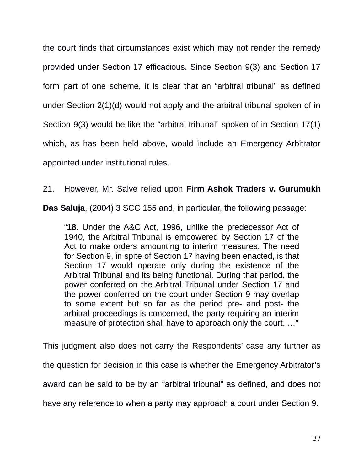the court finds that circumstances exist which may not render the remedy provided under Section 17 efficacious. Since Section 9(3) and Section 17 form part of one scheme, it is clear that an "arbitral tribunal" as defined under Section 2(1)(d) would not apply and the arbitral tribunal spoken of in Section 9(3) would be like the "arbitral tribunal" spoken of in Section 17(1) which, as has been held above, would include an Emergency Arbitrator appointed under institutional rules.

21. However, Mr. Salve relied upon **Firm Ashok Traders v. Gurumukh**

**Das Saluja**, (2004) 3 SCC 155 and, in particular, the following passage:

"**18.** Under the A&C Act, 1996, unlike the predecessor Act of 1940, the Arbitral Tribunal is empowered by Section 17 of the Act to make orders amounting to interim measures. The need for Section 9, in spite of Section 17 having been enacted, is that Section 17 would operate only during the existence of the Arbitral Tribunal and its being functional. During that period, the power conferred on the Arbitral Tribunal under Section 17 and the power conferred on the court under Section 9 may overlap to some extent but so far as the period pre- and post- the arbitral proceedings is concerned, the party requiring an interim measure of protection shall have to approach only the court. …"

This judgment also does not carry the Respondents' case any further as the question for decision in this case is whether the Emergency Arbitrator's award can be said to be by an "arbitral tribunal" as defined, and does not have any reference to when a party may approach a court under Section 9.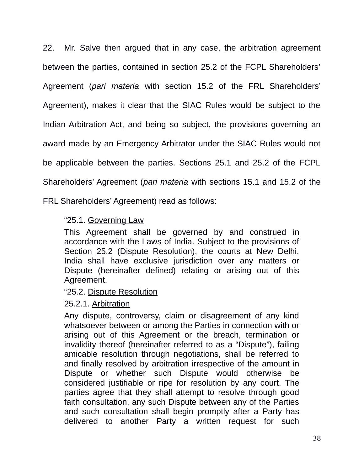22. Mr. Salve then argued that in any case, the arbitration agreement between the parties, contained in section 25.2 of the FCPL Shareholders' Agreement (*pari materia* with section 15.2 of the FRL Shareholders' Agreement), makes it clear that the SIAC Rules would be subject to the Indian Arbitration Act, and being so subject, the provisions governing an award made by an Emergency Arbitrator under the SIAC Rules would not be applicable between the parties. Sections 25.1 and 25.2 of the FCPL Shareholders' Agreement (*pari materia* with sections 15.1 and 15.2 of the

FRL Shareholders' Agreement) read as follows:

## "25.1. Governing Law

This Agreement shall be governed by and construed in accordance with the Laws of India. Subject to the provisions of Section 25.2 (Dispute Resolution), the courts at New Delhi, India shall have exclusive jurisdiction over any matters or Dispute (hereinafter defined) relating or arising out of this Agreement.

#### "25.2. Dispute Resolution

#### 25.2.1. Arbitration

Any dispute, controversy, claim or disagreement of any kind whatsoever between or among the Parties in connection with or arising out of this Agreement or the breach, termination or invalidity thereof (hereinafter referred to as a "Dispute"), failing amicable resolution through negotiations, shall be referred to and finally resolved by arbitration irrespective of the amount in Dispute or whether such Dispute would otherwise be considered justifiable or ripe for resolution by any court. The parties agree that they shall attempt to resolve through good faith consultation, any such Dispute between any of the Parties and such consultation shall begin promptly after a Party has delivered to another Party a written request for such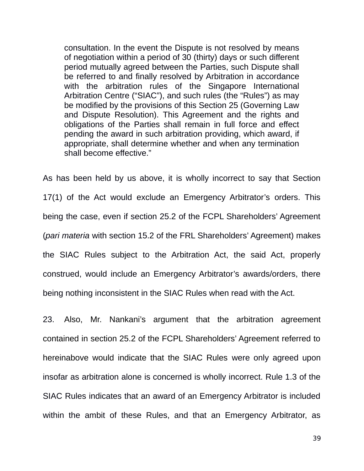consultation. In the event the Dispute is not resolved by means of negotiation within a period of 30 (thirty) days or such different period mutually agreed between the Parties, such Dispute shall be referred to and finally resolved by Arbitration in accordance with the arbitration rules of the Singapore International Arbitration Centre ("SIAC"), and such rules (the "Rules") as may be modified by the provisions of this Section 25 (Governing Law and Dispute Resolution). This Agreement and the rights and obligations of the Parties shall remain in full force and effect pending the award in such arbitration providing, which award, if appropriate, shall determine whether and when any termination shall become effective."

As has been held by us above, it is wholly incorrect to say that Section 17(1) of the Act would exclude an Emergency Arbitrator's orders. This being the case, even if section 25.2 of the FCPL Shareholders' Agreement (*pari materia* with section 15.2 of the FRL Shareholders' Agreement) makes the SIAC Rules subject to the Arbitration Act, the said Act, properly construed, would include an Emergency Arbitrator's awards/orders, there being nothing inconsistent in the SIAC Rules when read with the Act.

23. Also, Mr. Nankani's argument that the arbitration agreement contained in section 25.2 of the FCPL Shareholders' Agreement referred to hereinabove would indicate that the SIAC Rules were only agreed upon insofar as arbitration alone is concerned is wholly incorrect. Rule 1.3 of the SIAC Rules indicates that an award of an Emergency Arbitrator is included within the ambit of these Rules, and that an Emergency Arbitrator, as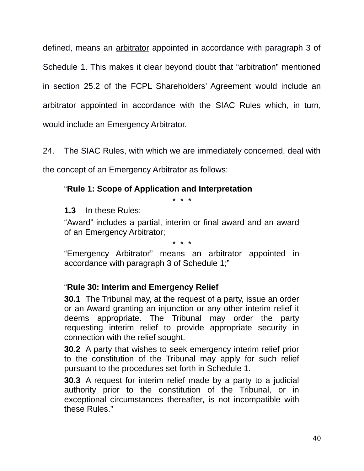defined, means an arbitrator appointed in accordance with paragraph 3 of Schedule 1. This makes it clear beyond doubt that "arbitration" mentioned in section 25.2 of the FCPL Shareholders' Agreement would include an arbitrator appointed in accordance with the SIAC Rules which, in turn, would include an Emergency Arbitrator.

24. The SIAC Rules, with which we are immediately concerned, deal with

the concept of an Emergency Arbitrator as follows:

## "**Rule 1: Scope of Application and Interpretation**

\* \* \*

**1.3** In these Rules:

"Award" includes a partial, interim or final award and an award of an Emergency Arbitrator;

\* \* \*

"Emergency Arbitrator" means an arbitrator appointed in accordance with paragraph 3 of Schedule 1;"

## "**Rule 30: Interim and Emergency Relief**

**30.1** The Tribunal may, at the request of a party, issue an order or an Award granting an injunction or any other interim relief it deems appropriate. The Tribunal may order the party requesting interim relief to provide appropriate security in connection with the relief sought.

**30.2** A party that wishes to seek emergency interim relief prior to the constitution of the Tribunal may apply for such relief pursuant to the procedures set forth in Schedule 1.

**30.3** A request for interim relief made by a party to a judicial authority prior to the constitution of the Tribunal, or in exceptional circumstances thereafter, is not incompatible with these Rules."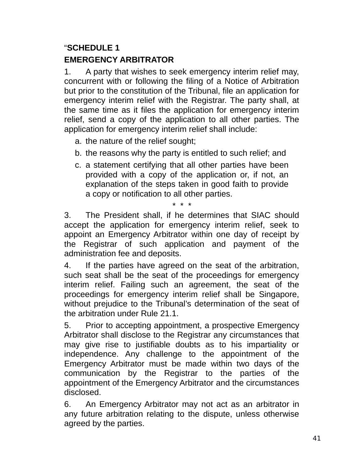# "**SCHEDULE 1 EMERGENCY ARBITRATOR**

1. A party that wishes to seek emergency interim relief may, concurrent with or following the filing of a Notice of Arbitration but prior to the constitution of the Tribunal, file an application for emergency interim relief with the Registrar. The party shall, at the same time as it files the application for emergency interim relief, send a copy of the application to all other parties. The application for emergency interim relief shall include:

- a. the nature of the relief sought;
- b. the reasons why the party is entitled to such relief; and
- c. a statement certifying that all other parties have been provided with a copy of the application or, if not, an explanation of the steps taken in good faith to provide a copy or notification to all other parties.

\* \* \*

3. The President shall, if he determines that SIAC should accept the application for emergency interim relief, seek to appoint an Emergency Arbitrator within one day of receipt by the Registrar of such application and payment of the administration fee and deposits.

4. If the parties have agreed on the seat of the arbitration, such seat shall be the seat of the proceedings for emergency interim relief. Failing such an agreement, the seat of the proceedings for emergency interim relief shall be Singapore, without prejudice to the Tribunal's determination of the seat of the arbitration under Rule 21.1.

5. Prior to accepting appointment, a prospective Emergency Arbitrator shall disclose to the Registrar any circumstances that may give rise to justifiable doubts as to his impartiality or independence. Any challenge to the appointment of the Emergency Arbitrator must be made within two days of the communication by the Registrar to the parties of the appointment of the Emergency Arbitrator and the circumstances disclosed.

6. An Emergency Arbitrator may not act as an arbitrator in any future arbitration relating to the dispute, unless otherwise agreed by the parties.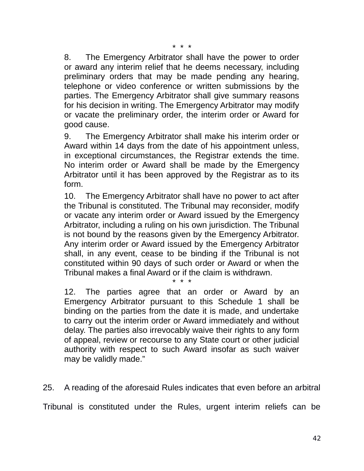8. The Emergency Arbitrator shall have the power to order or award any interim relief that he deems necessary, including preliminary orders that may be made pending any hearing, telephone or video conference or written submissions by the parties. The Emergency Arbitrator shall give summary reasons for his decision in writing. The Emergency Arbitrator may modify or vacate the preliminary order, the interim order or Award for good cause.

9. The Emergency Arbitrator shall make his interim order or Award within 14 days from the date of his appointment unless, in exceptional circumstances, the Registrar extends the time. No interim order or Award shall be made by the Emergency Arbitrator until it has been approved by the Registrar as to its form.

10. The Emergency Arbitrator shall have no power to act after the Tribunal is constituted. The Tribunal may reconsider, modify or vacate any interim order or Award issued by the Emergency Arbitrator, including a ruling on his own jurisdiction. The Tribunal is not bound by the reasons given by the Emergency Arbitrator. Any interim order or Award issued by the Emergency Arbitrator shall, in any event, cease to be binding if the Tribunal is not constituted within 90 days of such order or Award or when the Tribunal makes a final Award or if the claim is withdrawn.

\* \* \*

12. The parties agree that an order or Award by an Emergency Arbitrator pursuant to this Schedule 1 shall be binding on the parties from the date it is made, and undertake to carry out the interim order or Award immediately and without delay. The parties also irrevocably waive their rights to any form of appeal, review or recourse to any State court or other judicial authority with respect to such Award insofar as such waiver may be validly made."

25. A reading of the aforesaid Rules indicates that even before an arbitral

Tribunal is constituted under the Rules, urgent interim reliefs can be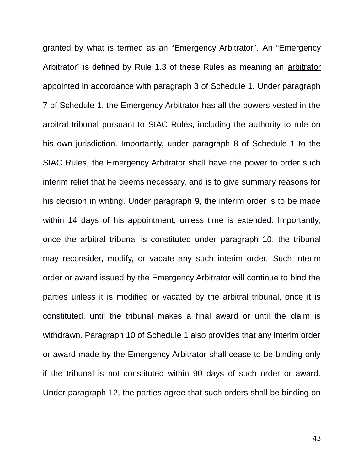granted by what is termed as an "Emergency Arbitrator". An "Emergency Arbitrator" is defined by Rule 1.3 of these Rules as meaning an arbitrator appointed in accordance with paragraph 3 of Schedule 1. Under paragraph 7 of Schedule 1, the Emergency Arbitrator has all the powers vested in the arbitral tribunal pursuant to SIAC Rules, including the authority to rule on his own jurisdiction. Importantly, under paragraph 8 of Schedule 1 to the SIAC Rules, the Emergency Arbitrator shall have the power to order such interim relief that he deems necessary, and is to give summary reasons for his decision in writing. Under paragraph 9, the interim order is to be made within 14 days of his appointment, unless time is extended. Importantly, once the arbitral tribunal is constituted under paragraph 10, the tribunal may reconsider, modify, or vacate any such interim order. Such interim order or award issued by the Emergency Arbitrator will continue to bind the parties unless it is modified or vacated by the arbitral tribunal, once it is constituted, until the tribunal makes a final award or until the claim is withdrawn. Paragraph 10 of Schedule 1 also provides that any interim order or award made by the Emergency Arbitrator shall cease to be binding only if the tribunal is not constituted within 90 days of such order or award. Under paragraph 12, the parties agree that such orders shall be binding on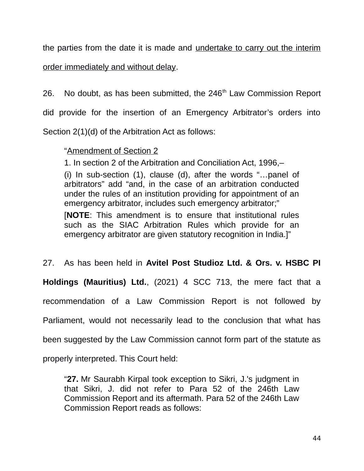the parties from the date it is made and undertake to carry out the interim order immediately and without delay.

26. No doubt, as has been submitted, the  $246<sup>th</sup>$  Law Commission Report did provide for the insertion of an Emergency Arbitrator's orders into Section 2(1)(d) of the Arbitration Act as follows:

## "Amendment of Section 2

1. In section 2 of the Arbitration and Conciliation Act, 1996,–

(i) In sub-section (1), clause (d), after the words "…panel of arbitrators" add "and, in the case of an arbitration conducted under the rules of an institution providing for appointment of an emergency arbitrator, includes such emergency arbitrator;"

[**NOTE**: This amendment is to ensure that institutional rules such as the SIAC Arbitration Rules which provide for an emergency arbitrator are given statutory recognition in India.]"

27. As has been held in **Avitel Post Studioz Ltd. & Ors. v. HSBC PI**

**Holdings (Mauritius) Ltd.**, (2021) 4 SCC 713, the mere fact that a

recommendation of a Law Commission Report is not followed by

Parliament, would not necessarily lead to the conclusion that what has

been suggested by the Law Commission cannot form part of the statute as

properly interpreted. This Court held:

"**27.** Mr Saurabh Kirpal took exception to Sikri, J.'s judgment in that Sikri, J. did not refer to Para 52 of the 246th Law Commission Report and its aftermath. Para 52 of the 246th Law Commission Report reads as follows: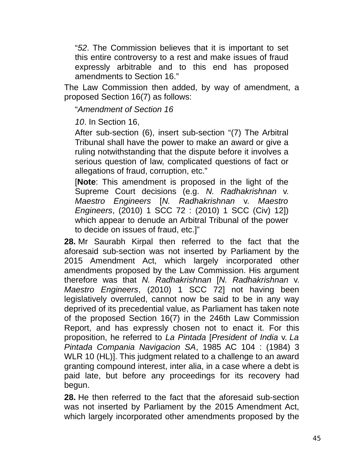"*52*. The Commission believes that it is important to set this entire controversy to a rest and make issues of fraud expressly arbitrable and to this end has proposed amendments to Section 16."

The Law Commission then added, by way of amendment, a proposed Section 16(7) as follows:

"*Amendment of Section 16*

*10*. In Section 16,

After sub-section (6), insert sub-section "(7) The Arbitral Tribunal shall have the power to make an award or give a ruling notwithstanding that the dispute before it involves a serious question of law, complicated questions of fact or allegations of fraud, corruption, etc."

[**Note**: This amendment is proposed in the light of the Supreme Court decisions (e.g. *N. Radhakrishnan* v. *Maestro Engineers* [*N. Radhakrishnan* v. *Maestro Engineers*, (2010) 1 SCC 72 : (2010) 1 SCC (Civ) 12]) which appear to denude an Arbitral Tribunal of the power to decide on issues of fraud, etc.]"

**28.** Mr Saurabh Kirpal then referred to the fact that the aforesaid sub-section was not inserted by Parliament by the 2015 Amendment Act, which largely incorporated other amendments proposed by the Law Commission. His argument therefore was that *N. Radhakrishnan* [*N. Radhakrishnan* v. *Maestro Engineers*, (2010) 1 SCC 72] not having been legislatively overruled, cannot now be said to be in any way deprived of its precedential value, as Parliament has taken note of the proposed Section 16(7) in the 246th Law Commission Report, and has expressly chosen not to enact it. For this proposition, he referred to *La Pintada* [*President of India* v. *La Pintada Compania Navigacion SA*, 1985 AC 104 : (1984) 3 WLR 10 (HL)]. This judgment related to a challenge to an award granting compound interest, inter alia, in a case where a debt is paid late, but before any proceedings for its recovery had begun.

**28.** He then referred to the fact that the aforesaid sub-section was not inserted by Parliament by the 2015 Amendment Act, which largely incorporated other amendments proposed by the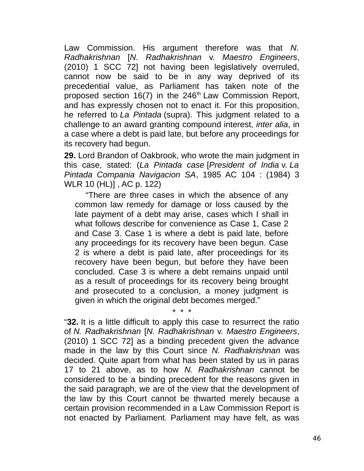Law Commission. His argument therefore was that *N. Radhakrishnan* [*N. Radhakrishnan* v. *Maestro Engineers*, (2010) 1 SCC 72] not having been legislatively overruled, cannot now be said to be in any way deprived of its precedential value, as Parliament has taken note of the proposed section  $16(7)$  in the  $246<sup>th</sup>$  Law Commission Report, and has expressly chosen not to enact it. For this proposition, he referred to *La Pintada* (supra). This judgment related to a challenge to an award granting compound interest, *inter alia*, in a case where a debt is paid late, but before any proceedings for its recovery had begun.

**29.** Lord Brandon of Oakbrook, who wrote the main judgment in this case, stated: (*La Pintada case* [*President of India* v. *La Pintada Compania Navigacion SA*, 1985 AC 104 : (1984) 3 WLR 10 (HL)] , AC p. 122)

"There are three cases in which the absence of any common law remedy for damage or loss caused by the late payment of a debt may arise, cases which I shall in what follows describe for convenience as Case 1, Case 2 and Case 3. Case 1 is where a debt is paid late, before any proceedings for its recovery have been begun. Case 2 is where a debt is paid late, after proceedings for its recovery have been begun, but before they have been concluded. Case 3 is where a debt remains unpaid until as a result of proceedings for its recovery being brought and prosecuted to a conclusion, a money judgment is given in which the original debt becomes merged."

"**32.** It is a little difficult to apply this case to resurrect the ratio of *N. Radhakrishnan* [*N. Radhakrishnan* v. *Maestro Engineers*, (2010) 1 SCC 72] as a binding precedent given the advance made in the law by this Court since *N. Radhakrishnan* was decided. Quite apart from what has been stated by us in paras 17 to 21 above, as to how *N. Radhakrishnan* cannot be considered to be a binding precedent for the reasons given in the said paragraph, we are of the view that the development of the law by this Court cannot be thwarted merely because a certain provision recommended in a Law Commission Report is not enacted by Parliament. Parliament may have felt, as was

\* \* \*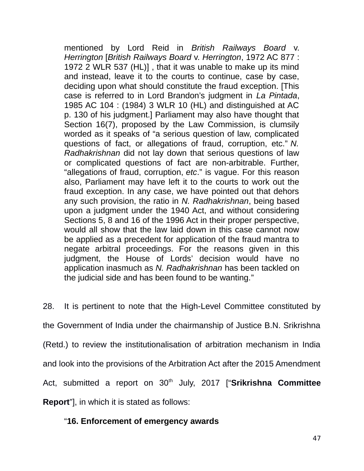mentioned by Lord Reid in *British Railways Board* v. *Herrington* [*British Railways Board* v. *Herrington*, 1972 AC 877 : 1972 2 WLR 537 (HL)] , that it was unable to make up its mind and instead, leave it to the courts to continue, case by case, deciding upon what should constitute the fraud exception. [This case is referred to in Lord Brandon's judgment in *La Pintada*, 1985 AC 104 : (1984) 3 WLR 10 (HL) and distinguished at AC p. 130 of his judgment.] Parliament may also have thought that Section 16(7), proposed by the Law Commission, is clumsily worded as it speaks of "a serious question of law, complicated questions of fact, or allegations of fraud, corruption, etc." *N. Radhakrishnan* did not lay down that serious questions of law or complicated questions of fact are non-arbitrable. Further, "allegations of fraud, corruption, *etc*." is vague. For this reason also, Parliament may have left it to the courts to work out the fraud exception. In any case, we have pointed out that dehors any such provision, the ratio in *N. Radhakrishnan*, being based upon a judgment under the 1940 Act, and without considering Sections 5, 8 and 16 of the 1996 Act in their proper perspective, would all show that the law laid down in this case cannot now be applied as a precedent for application of the fraud mantra to negate arbitral proceedings. For the reasons given in this judgment, the House of Lords' decision would have no application inasmuch as *N. Radhakrishnan* has been tackled on the judicial side and has been found to be wanting."

28. It is pertinent to note that the High-Level Committee constituted by the Government of India under the chairmanship of Justice B.N. Srikrishna (Retd.) to review the institutionalisation of arbitration mechanism in India and look into the provisions of the Arbitration Act after the 2015 Amendment Act, submitted a report on 30<sup>th</sup> July, 2017 ["Srikrishna Committee **Report**"], in which it is stated as follows:

#### "**16. Enforcement of emergency awards**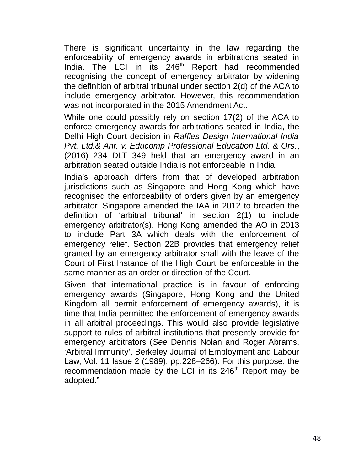There is significant uncertainty in the law regarding the enforceability of emergency awards in arbitrations seated in India. The LCI in its 246<sup>th</sup> Report had recommended recognising the concept of emergency arbitrator by widening the definition of arbitral tribunal under section 2(d) of the ACA to include emergency arbitrator. However, this recommendation was not incorporated in the 2015 Amendment Act.

While one could possibly rely on section 17(2) of the ACA to enforce emergency awards for arbitrations seated in India, the Delhi High Court decision in *Raffles Design International India Pvt. Ltd.& Anr. v. Educomp Professional Education Ltd. & Ors.*, (2016) 234 DLT 349 held that an emergency award in an arbitration seated outside India is not enforceable in India.

India's approach differs from that of developed arbitration jurisdictions such as Singapore and Hong Kong which have recognised the enforceability of orders given by an emergency arbitrator. Singapore amended the IAA in 2012 to broaden the definition of 'arbitral tribunal' in section 2(1) to include emergency arbitrator(s). Hong Kong amended the AO in 2013 to include Part 3A which deals with the enforcement of emergency relief. Section 22B provides that emergency relief granted by an emergency arbitrator shall with the leave of the Court of First Instance of the High Court be enforceable in the same manner as an order or direction of the Court.

Given that international practice is in favour of enforcing emergency awards (Singapore, Hong Kong and the United Kingdom all permit enforcement of emergency awards), it is time that India permitted the enforcement of emergency awards in all arbitral proceedings. This would also provide legislative support to rules of arbitral institutions that presently provide for emergency arbitrators (*See* Dennis Nolan and Roger Abrams, 'Arbitral Immunity', Berkeley Journal of Employment and Labour Law, Vol. 11 Issue 2 (1989), pp.228–266). For this purpose, the recommendation made by the LCI in its  $246<sup>th</sup>$  Report may be adopted."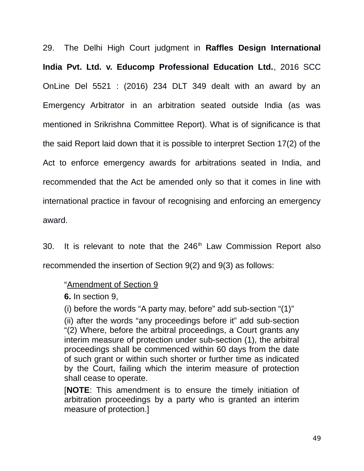29. The Delhi High Court judgment in **Raffles Design International India Pvt. Ltd. v. Educomp Professional Education Ltd.**, 2016 SCC OnLine Del 5521 : (2016) 234 DLT 349 dealt with an award by an Emergency Arbitrator in an arbitration seated outside India (as was mentioned in Srikrishna Committee Report). What is of significance is that the said Report laid down that it is possible to interpret Section 17(2) of the Act to enforce emergency awards for arbitrations seated in India, and recommended that the Act be amended only so that it comes in line with international practice in favour of recognising and enforcing an emergency award.

30. It is relevant to note that the  $246<sup>th</sup>$  Law Commission Report also recommended the insertion of Section 9(2) and 9(3) as follows:

#### "Amendment of Section 9

**6.** In section 9,

(i) before the words "A party may, before" add sub-section "(1)"

(ii) after the words "any proceedings before it" add sub-section "(2) Where, before the arbitral proceedings, a Court grants any interim measure of protection under sub-section (1), the arbitral proceedings shall be commenced within 60 days from the date of such grant or within such shorter or further time as indicated by the Court, failing which the interim measure of protection shall cease to operate.

[**NOTE**: This amendment is to ensure the timely initiation of arbitration proceedings by a party who is granted an interim measure of protection.]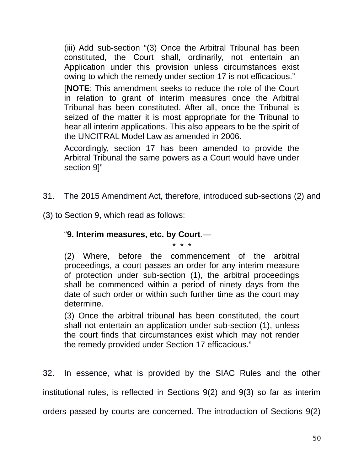(iii) Add sub-section "(3) Once the Arbitral Tribunal has been constituted, the Court shall, ordinarily, not entertain an Application under this provision unless circumstances exist owing to which the remedy under section 17 is not efficacious."

[**NOTE**: This amendment seeks to reduce the role of the Court in relation to grant of interim measures once the Arbitral Tribunal has been constituted. After all, once the Tribunal is seized of the matter it is most appropriate for the Tribunal to hear all interim applications. This also appears to be the spirit of the UNCITRAL Model Law as amended in 2006.

Accordingly, section 17 has been amended to provide the Arbitral Tribunal the same powers as a Court would have under section 9]"

- 31. The 2015 Amendment Act, therefore, introduced sub-sections (2) and
- (3) to Section 9, which read as follows:

#### "**9. Interim measures, etc. by Court**.—

\* \* \*

(2) Where, before the commencement of the arbitral proceedings, a court passes an order for any interim measure of protection under sub-section (1), the arbitral proceedings shall be commenced within a period of ninety days from the date of such order or within such further time as the court may determine.

(3) Once the arbitral tribunal has been constituted, the court shall not entertain an application under sub-section (1), unless the court finds that circumstances exist which may not render the remedy provided under Section 17 efficacious."

32. In essence, what is provided by the SIAC Rules and the other institutional rules, is reflected in Sections 9(2) and 9(3) so far as interim orders passed by courts are concerned. The introduction of Sections 9(2)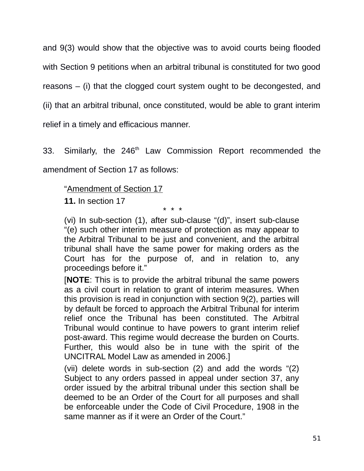and 9(3) would show that the objective was to avoid courts being flooded with Section 9 petitions when an arbitral tribunal is constituted for two good reasons – (i) that the clogged court system ought to be decongested, and (ii) that an arbitral tribunal, once constituted, would be able to grant interim relief in a timely and efficacious manner.

33. Similarly, the 246<sup>th</sup> Law Commission Report recommended the amendment of Section 17 as follows:

"Amendment of Section 17

**11.** In section 17

\* \* \*

(vi) In sub-section (1), after sub-clause "(d)", insert sub-clause "(e) such other interim measure of protection as may appear to the Arbitral Tribunal to be just and convenient, and the arbitral tribunal shall have the same power for making orders as the Court has for the purpose of, and in relation to, any proceedings before it."

[**NOTE**: This is to provide the arbitral tribunal the same powers as a civil court in relation to grant of interim measures. When this provision is read in conjunction with section 9(2), parties will by default be forced to approach the Arbitral Tribunal for interim relief once the Tribunal has been constituted. The Arbitral Tribunal would continue to have powers to grant interim relief post-award. This regime would decrease the burden on Courts. Further, this would also be in tune with the spirit of the UNCITRAL Model Law as amended in 2006.]

(vii) delete words in sub-section (2) and add the words "(2) Subject to any orders passed in appeal under section 37, any order issued by the arbitral tribunal under this section shall be deemed to be an Order of the Court for all purposes and shall be enforceable under the Code of Civil Procedure, 1908 in the same manner as if it were an Order of the Court."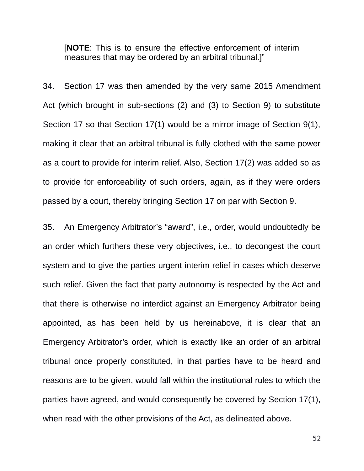[**NOTE**: This is to ensure the effective enforcement of interim measures that may be ordered by an arbitral tribunal.]"

34. Section 17 was then amended by the very same 2015 Amendment Act (which brought in sub-sections (2) and (3) to Section 9) to substitute Section 17 so that Section 17(1) would be a mirror image of Section 9(1), making it clear that an arbitral tribunal is fully clothed with the same power as a court to provide for interim relief. Also, Section 17(2) was added so as to provide for enforceability of such orders, again, as if they were orders passed by a court, thereby bringing Section 17 on par with Section 9.

35. An Emergency Arbitrator's "award", i.e., order, would undoubtedly be an order which furthers these very objectives, i.e., to decongest the court system and to give the parties urgent interim relief in cases which deserve such relief. Given the fact that party autonomy is respected by the Act and that there is otherwise no interdict against an Emergency Arbitrator being appointed, as has been held by us hereinabove, it is clear that an Emergency Arbitrator's order, which is exactly like an order of an arbitral tribunal once properly constituted, in that parties have to be heard and reasons are to be given, would fall within the institutional rules to which the parties have agreed, and would consequently be covered by Section 17(1), when read with the other provisions of the Act, as delineated above.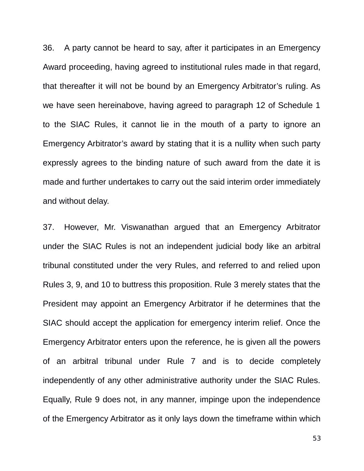36. A party cannot be heard to say, after it participates in an Emergency Award proceeding, having agreed to institutional rules made in that regard, that thereafter it will not be bound by an Emergency Arbitrator's ruling. As we have seen hereinabove, having agreed to paragraph 12 of Schedule 1 to the SIAC Rules, it cannot lie in the mouth of a party to ignore an Emergency Arbitrator's award by stating that it is a nullity when such party expressly agrees to the binding nature of such award from the date it is made and further undertakes to carry out the said interim order immediately and without delay.

37. However, Mr. Viswanathan argued that an Emergency Arbitrator under the SIAC Rules is not an independent judicial body like an arbitral tribunal constituted under the very Rules, and referred to and relied upon Rules 3, 9, and 10 to buttress this proposition. Rule 3 merely states that the President may appoint an Emergency Arbitrator if he determines that the SIAC should accept the application for emergency interim relief. Once the Emergency Arbitrator enters upon the reference, he is given all the powers of an arbitral tribunal under Rule 7 and is to decide completely independently of any other administrative authority under the SIAC Rules. Equally, Rule 9 does not, in any manner, impinge upon the independence of the Emergency Arbitrator as it only lays down the timeframe within which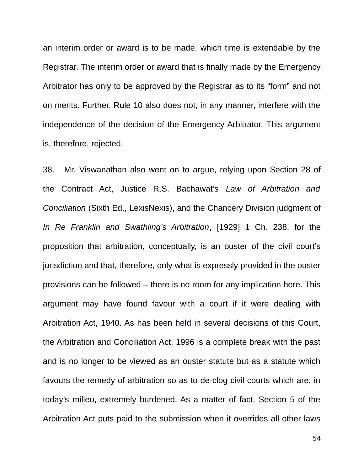an interim order or award is to be made, which time is extendable by the Registrar. The interim order or award that is finally made by the Emergency Arbitrator has only to be approved by the Registrar as to its "form" and not on merits. Further, Rule 10 also does not, in any manner, interfere with the independence of the decision of the Emergency Arbitrator. This argument is, therefore, rejected.

38. Mr. Viswanathan also went on to argue, relying upon Section 28 of the Contract Act, Justice R.S. Bachawat's *Law of Arbitration and Conciliation* (Sixth Ed., LexisNexis), and the Chancery Division judgment of *In Re Franklin and Swathling's Arbitration*, [1929] 1 Ch. 238, for the proposition that arbitration, conceptually, is an ouster of the civil court's jurisdiction and that, therefore, only what is expressly provided in the ouster provisions can be followed – there is no room for any implication here. This argument may have found favour with a court if it were dealing with Arbitration Act, 1940. As has been held in several decisions of this Court, the Arbitration and Conciliation Act, 1996 is a complete break with the past and is no longer to be viewed as an ouster statute but as a statute which favours the remedy of arbitration so as to de-clog civil courts which are, in today's milieu, extremely burdened. As a matter of fact, Section 5 of the Arbitration Act puts paid to the submission when it overrides all other laws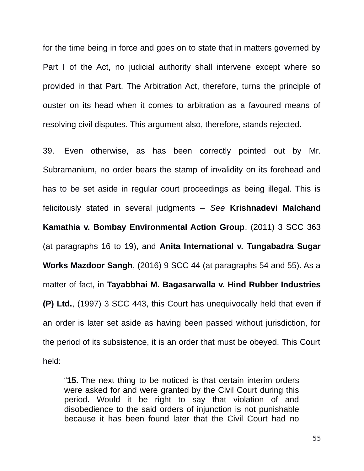for the time being in force and goes on to state that in matters governed by Part I of the Act, no judicial authority shall intervene except where so provided in that Part. The Arbitration Act, therefore, turns the principle of ouster on its head when it comes to arbitration as a favoured means of resolving civil disputes. This argument also, therefore, stands rejected.

39. Even otherwise, as has been correctly pointed out by Mr. Subramanium, no order bears the stamp of invalidity on its forehead and has to be set aside in regular court proceedings as being illegal. This is felicitously stated in several judgments – *See* **Krishnadevi Malchand Kamathia v. Bombay Environmental Action Group**, (2011) 3 SCC 363 (at paragraphs 16 to 19), and **Anita International v. Tungabadra Sugar Works Mazdoor Sangh**, (2016) 9 SCC 44 (at paragraphs 54 and 55). As a matter of fact, in **Tayabbhai M. Bagasarwalla v. Hind Rubber Industries (P) Ltd.**, (1997) 3 SCC 443, this Court has unequivocally held that even if an order is later set aside as having been passed without jurisdiction, for the period of its subsistence, it is an order that must be obeyed. This Court held:

"**15.** The next thing to be noticed is that certain interim orders were asked for and were granted by the Civil Court during this period. Would it be right to say that violation of and disobedience to the said orders of injunction is not punishable because it has been found later that the Civil Court had no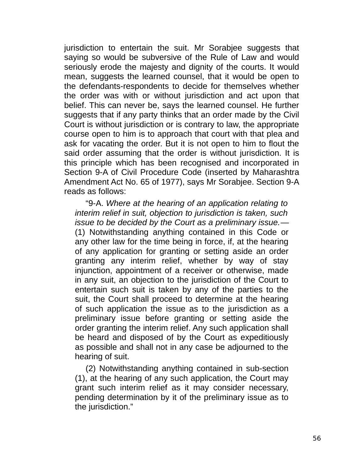jurisdiction to entertain the suit. Mr Sorabjee suggests that saying so would be subversive of the Rule of Law and would seriously erode the majesty and dignity of the courts. It would mean, suggests the learned counsel, that it would be open to the defendants-respondents to decide for themselves whether the order was with or without jurisdiction and act upon that belief. This can never be, says the learned counsel. He further suggests that if any party thinks that an order made by the Civil Court is without jurisdiction or is contrary to law, the appropriate course open to him is to approach that court with that plea and ask for vacating the order. But it is not open to him to flout the said order assuming that the order is without jurisdiction. It is this principle which has been recognised and incorporated in Section 9-A of Civil Procedure Code (inserted by Maharashtra Amendment Act No. 65 of 1977), says Mr Sorabjee. Section 9-A reads as follows:

"9-A. *Where at the hearing of an application relating to interim relief in suit, objection to jurisdiction is taken, such issue to be decided by the Court as a preliminary issue.*— (1) Notwithstanding anything contained in this Code or any other law for the time being in force, if, at the hearing of any application for granting or setting aside an order granting any interim relief, whether by way of stay injunction, appointment of a receiver or otherwise, made in any suit, an objection to the jurisdiction of the Court to entertain such suit is taken by any of the parties to the suit, the Court shall proceed to determine at the hearing of such application the issue as to the jurisdiction as a preliminary issue before granting or setting aside the order granting the interim relief. Any such application shall be heard and disposed of by the Court as expeditiously as possible and shall not in any case be adjourned to the hearing of suit.

(2) Notwithstanding anything contained in sub-section (1), at the hearing of any such application, the Court may grant such interim relief as it may consider necessary, pending determination by it of the preliminary issue as to the jurisdiction."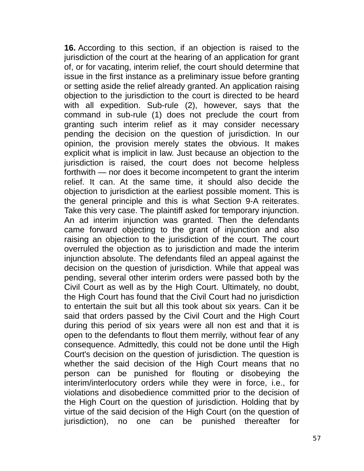**16.** According to this section, if an objection is raised to the jurisdiction of the court at the hearing of an application for grant of, or for vacating, interim relief, the court should determine that issue in the first instance as a preliminary issue before granting or setting aside the relief already granted. An application raising objection to the jurisdiction to the court is directed to be heard with all expedition. Sub-rule (2), however, says that the command in sub-rule (1) does not preclude the court from granting such interim relief as it may consider necessary pending the decision on the question of jurisdiction. In our opinion, the provision merely states the obvious. It makes explicit what is implicit in law. Just because an objection to the jurisdiction is raised, the court does not become helpless forthwith — nor does it become incompetent to grant the interim relief. It can. At the same time, it should also decide the objection to jurisdiction at the earliest possible moment. This is the general principle and this is what Section 9-A reiterates. Take this very case. The plaintiff asked for temporary injunction. An ad interim injunction was granted. Then the defendants came forward objecting to the grant of injunction and also raising an objection to the jurisdiction of the court. The court overruled the objection as to jurisdiction and made the interim injunction absolute. The defendants filed an appeal against the decision on the question of jurisdiction. While that appeal was pending, several other interim orders were passed both by the Civil Court as well as by the High Court. Ultimately, no doubt, the High Court has found that the Civil Court had no jurisdiction to entertain the suit but all this took about six years. Can it be said that orders passed by the Civil Court and the High Court during this period of six years were all non est and that it is open to the defendants to flout them merrily, without fear of any consequence. Admittedly, this could not be done until the High Court's decision on the question of jurisdiction. The question is whether the said decision of the High Court means that no person can be punished for flouting or disobeying the interim/interlocutory orders while they were in force, i.e., for violations and disobedience committed prior to the decision of the High Court on the question of jurisdiction. Holding that by virtue of the said decision of the High Court (on the question of jurisdiction), no one can be punished thereafter for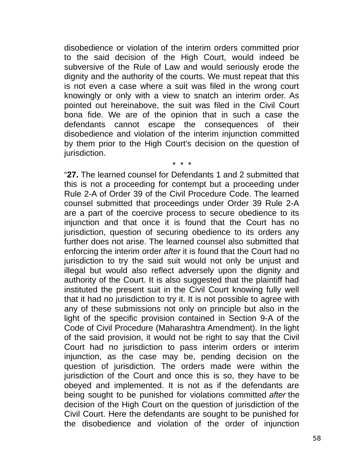disobedience or violation of the interim orders committed prior to the said decision of the High Court, would indeed be subversive of the Rule of Law and would seriously erode the dignity and the authority of the courts. We must repeat that this is not even a case where a suit was filed in the wrong court knowingly or only with a view to snatch an interim order. As pointed out hereinabove, the suit was filed in the Civil Court bona fide. We are of the opinion that in such a case the defendants cannot escape the consequences of their disobedience and violation of the interim injunction committed by them prior to the High Court's decision on the question of jurisdiction.

\* \* \*

"**27.** The learned counsel for Defendants 1 and 2 submitted that this is not a proceeding for contempt but a proceeding under Rule 2-A of Order 39 of the Civil Procedure Code. The learned counsel submitted that proceedings under Order 39 Rule 2-A are a part of the coercive process to secure obedience to its injunction and that once it is found that the Court has no jurisdiction, question of securing obedience to its orders any further does not arise. The learned counsel also submitted that enforcing the interim order *after* it is found that the Court had no jurisdiction to try the said suit would not only be unjust and illegal but would also reflect adversely upon the dignity and authority of the Court. It is also suggested that the plaintiff had instituted the present suit in the Civil Court knowing fully well that it had no jurisdiction to try it. It is not possible to agree with any of these submissions not only on principle but also in the light of the specific provision contained in Section 9-A of the Code of Civil Procedure (Maharashtra Amendment). In the light of the said provision, it would not be right to say that the Civil Court had no jurisdiction to pass interim orders or interim injunction, as the case may be, pending decision on the question of jurisdiction. The orders made were within the jurisdiction of the Court and once this is so, they have to be obeyed and implemented. It is not as if the defendants are being sought to be punished for violations committed *after* the decision of the High Court on the question of jurisdiction of the Civil Court. Here the defendants are sought to be punished for the disobedience and violation of the order of injunction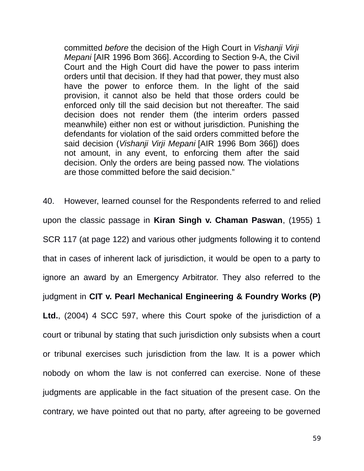committed *before* the decision of the High Court in *Vishanji Virji Mepani* [AIR 1996 Bom 366]. According to Section 9-A, the Civil Court and the High Court did have the power to pass interim orders until that decision. If they had that power, they must also have the power to enforce them. In the light of the said provision, it cannot also be held that those orders could be enforced only till the said decision but not thereafter. The said decision does not render them (the interim orders passed meanwhile) either non est or without jurisdiction. Punishing the defendants for violation of the said orders committed before the said decision (*Vishanji Virji Mepani* [AIR 1996 Bom 366]) does not amount, in any event, to enforcing them after the said decision. Only the orders are being passed now. The violations are those committed before the said decision."

40. However, learned counsel for the Respondents referred to and relied upon the classic passage in **Kiran Singh v. Chaman Paswan**, (1955) 1 SCR 117 (at page 122) and various other judgments following it to contend that in cases of inherent lack of jurisdiction, it would be open to a party to ignore an award by an Emergency Arbitrator. They also referred to the judgment in **CIT v. Pearl Mechanical Engineering & Foundry Works (P) Ltd.**, (2004) 4 SCC 597, where this Court spoke of the jurisdiction of a court or tribunal by stating that such jurisdiction only subsists when a court or tribunal exercises such jurisdiction from the law. It is a power which nobody on whom the law is not conferred can exercise. None of these judgments are applicable in the fact situation of the present case. On the contrary, we have pointed out that no party, after agreeing to be governed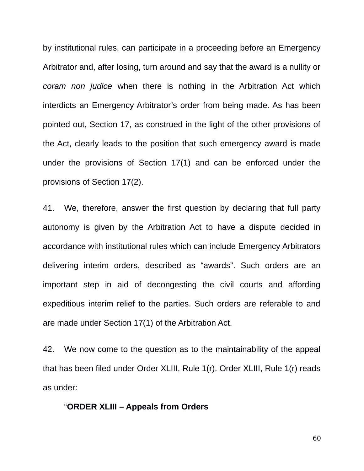by institutional rules, can participate in a proceeding before an Emergency Arbitrator and, after losing, turn around and say that the award is a nullity or *coram non judice* when there is nothing in the Arbitration Act which interdicts an Emergency Arbitrator's order from being made. As has been pointed out, Section 17, as construed in the light of the other provisions of the Act, clearly leads to the position that such emergency award is made under the provisions of Section 17(1) and can be enforced under the provisions of Section 17(2).

41. We, therefore, answer the first question by declaring that full party autonomy is given by the Arbitration Act to have a dispute decided in accordance with institutional rules which can include Emergency Arbitrators delivering interim orders, described as "awards". Such orders are an important step in aid of decongesting the civil courts and affording expeditious interim relief to the parties. Such orders are referable to and are made under Section 17(1) of the Arbitration Act.

42. We now come to the question as to the maintainability of the appeal that has been filed under Order XLIII, Rule 1(r). Order XLIII, Rule 1(r) reads as under:

### "**ORDER XLIII – Appeals from Orders**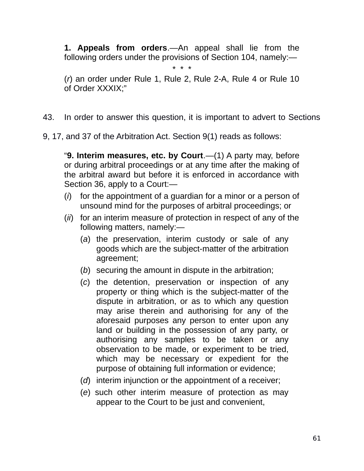**1. Appeals from orders**.—An appeal shall lie from the following orders under the provisions of Section 104, namely:—

\* \* \*

(*r*) an order under Rule 1, Rule 2, Rule 2-A, Rule 4 or Rule 10 of Order XXXIX;"

43. In order to answer this question, it is important to advert to Sections

9, 17, and 37 of the Arbitration Act. Section 9(1) reads as follows:

"**9. Interim measures, etc. by Court**.—(1) A party may, before or during arbitral proceedings or at any time after the making of the arbitral award but before it is enforced in accordance with Section 36, apply to a Court:—

- (*i*) for the appointment of a guardian for a minor or a person of unsound mind for the purposes of arbitral proceedings; or
- (*ii*) for an interim measure of protection in respect of any of the following matters, namely:—
	- (*a*) the preservation, interim custody or sale of any goods which are the subject-matter of the arbitration agreement;
	- (*b*) securing the amount in dispute in the arbitration;
	- (*c*) the detention, preservation or inspection of any property or thing which is the subject-matter of the dispute in arbitration, or as to which any question may arise therein and authorising for any of the aforesaid purposes any person to enter upon any land or building in the possession of any party, or authorising any samples to be taken or any observation to be made, or experiment to be tried, which may be necessary or expedient for the purpose of obtaining full information or evidence;
	- (*d*) interim injunction or the appointment of a receiver;
	- (*e*) such other interim measure of protection as may appear to the Court to be just and convenient,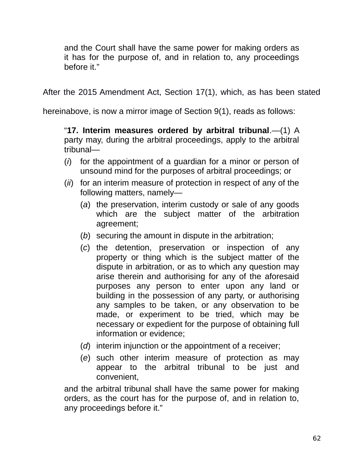and the Court shall have the same power for making orders as it has for the purpose of, and in relation to, any proceedings before it."

After the 2015 Amendment Act, Section 17(1), which, as has been stated

hereinabove, is now a mirror image of Section 9(1), reads as follows:

"**17. Interim measures ordered by arbitral tribunal**.—(1) A party may, during the arbitral proceedings, apply to the arbitral tribunal—

- (*i*) for the appointment of a guardian for a minor or person of unsound mind for the purposes of arbitral proceedings; or
- (*ii*) for an interim measure of protection in respect of any of the following matters, namely—
	- (*a*) the preservation, interim custody or sale of any goods which are the subject matter of the arbitration agreement;
	- (*b*) securing the amount in dispute in the arbitration;
	- (*c*) the detention, preservation or inspection of any property or thing which is the subject matter of the dispute in arbitration, or as to which any question may arise therein and authorising for any of the aforesaid purposes any person to enter upon any land or building in the possession of any party, or authorising any samples to be taken, or any observation to be made, or experiment to be tried, which may be necessary or expedient for the purpose of obtaining full information or evidence;
	- (*d*) interim injunction or the appointment of a receiver;
	- (*e*) such other interim measure of protection as may appear to the arbitral tribunal to be just and convenient,

and the arbitral tribunal shall have the same power for making orders, as the court has for the purpose of, and in relation to, any proceedings before it."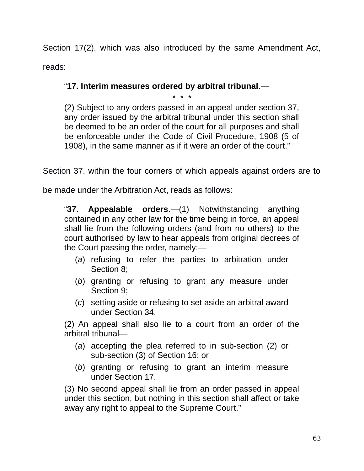Section 17(2), which was also introduced by the same Amendment Act, reads:

# "**17. Interim measures ordered by arbitral tribunal**.—

\* \* \*

(2) Subject to any orders passed in an appeal under section 37, any order issued by the arbitral tribunal under this section shall be deemed to be an order of the court for all purposes and shall be enforceable under the Code of Civil Procedure, 1908 (5 of 1908), in the same manner as if it were an order of the court."

Section 37, within the four corners of which appeals against orders are to

be made under the Arbitration Act, reads as follows:

"**37. Appealable orders**.—(1) Notwithstanding anything contained in any other law for the time being in force, an appeal shall lie from the following orders (and from no others) to the court authorised by law to hear appeals from original decrees of the Court passing the order, namely:—

- (*a*) refusing to refer the parties to arbitration under Section 8;
- (*b*) granting or refusing to grant any measure under Section 9;
- (*c*) setting aside or refusing to set aside an arbitral award under Section 34.

(2) An appeal shall also lie to a court from an order of the arbitral tribunal—

- (*a*) accepting the plea referred to in sub-section (2) or sub-section (3) of Section 16; or
- (*b*) granting or refusing to grant an interim measure under Section 17.

(3) No second appeal shall lie from an order passed in appeal under this section, but nothing in this section shall affect or take away any right to appeal to the Supreme Court."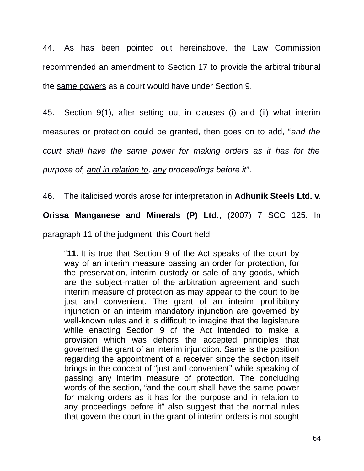44. As has been pointed out hereinabove, the Law Commission recommended an amendment to Section 17 to provide the arbitral tribunal the same powers as a court would have under Section 9.

45. Section 9(1), after setting out in clauses (i) and (ii) what interim measures or protection could be granted, then goes on to add, "*and the*

*court shall have the same power for making orders as it has for the*

*purpose of, and in relation to, any proceedings before it*".

46. The italicised words arose for interpretation in **Adhunik Steels Ltd. v.**

**Orissa Manganese and Minerals (P) Ltd.**, (2007) 7 SCC 125. In

paragraph 11 of the judgment, this Court held:

"**11.** It is true that Section 9 of the Act speaks of the court by way of an interim measure passing an order for protection, for the preservation, interim custody or sale of any goods, which are the subject-matter of the arbitration agreement and such interim measure of protection as may appear to the court to be just and convenient. The grant of an interim prohibitory injunction or an interim mandatory injunction are governed by well-known rules and it is difficult to imagine that the legislature while enacting Section 9 of the Act intended to make a provision which was dehors the accepted principles that governed the grant of an interim injunction. Same is the position regarding the appointment of a receiver since the section itself brings in the concept of "just and convenient" while speaking of passing any interim measure of protection. The concluding words of the section, "and the court shall have the same power for making orders as it has for the purpose and in relation to any proceedings before it" also suggest that the normal rules that govern the court in the grant of interim orders is not sought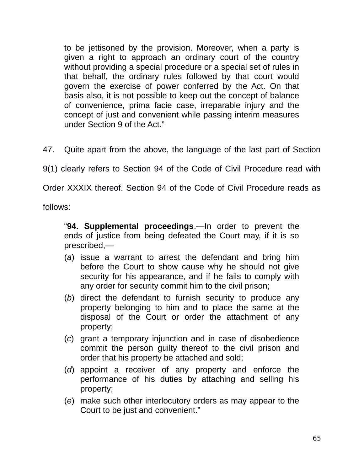to be jettisoned by the provision. Moreover, when a party is given a right to approach an ordinary court of the country without providing a special procedure or a special set of rules in that behalf, the ordinary rules followed by that court would govern the exercise of power conferred by the Act. On that basis also, it is not possible to keep out the concept of balance of convenience, prima facie case, irreparable injury and the concept of just and convenient while passing interim measures under Section 9 of the Act."

47. Quite apart from the above, the language of the last part of Section

9(1) clearly refers to Section 94 of the Code of Civil Procedure read with

Order XXXIX thereof. Section 94 of the Code of Civil Procedure reads as

follows:

"**94. Supplemental proceedings**.—In order to prevent the ends of justice from being defeated the Court may, if it is so prescribed,—

- (*a*) issue a warrant to arrest the defendant and bring him before the Court to show cause why he should not give security for his appearance, and if he fails to comply with any order for security commit him to the civil prison;
- (*b*) direct the defendant to furnish security to produce any property belonging to him and to place the same at the disposal of the Court or order the attachment of any property;
- (*c*) grant a temporary injunction and in case of disobedience commit the person guilty thereof to the civil prison and order that his property be attached and sold;
- (*d*) appoint a receiver of any property and enforce the performance of his duties by attaching and selling his property;
- (*e*) make such other interlocutory orders as may appear to the Court to be just and convenient."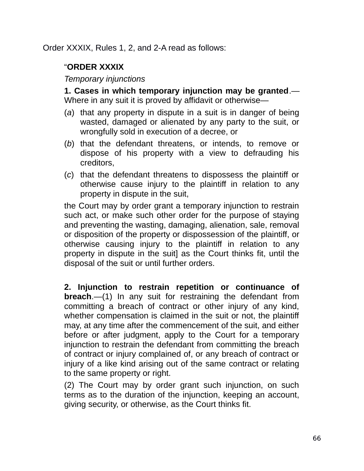Order XXXIX, Rules 1, 2, and 2-A read as follows:

# "**ORDER XXXIX**

*Temporary injunctions*

**1. Cases in which temporary injunction may be granted**.— Where in any suit it is proved by affidavit or otherwise—

- (*a*) that any property in dispute in a suit is in danger of being wasted, damaged or alienated by any party to the suit, or wrongfully sold in execution of a decree, or
- (*b*) that the defendant threatens, or intends, to remove or dispose of his property with a view to defrauding his creditors,
- (*c*) that the defendant threatens to dispossess the plaintiff or otherwise cause injury to the plaintiff in relation to any property in dispute in the suit,

the Court may by order grant a temporary injunction to restrain such act, or make such other order for the purpose of staying and preventing the wasting, damaging, alienation, sale, removal or disposition of the property or dispossession of the plaintiff, or otherwise causing injury to the plaintiff in relation to any property in dispute in the suit] as the Court thinks fit, until the disposal of the suit or until further orders.

**2. Injunction to restrain repetition or continuance of breach**.—(1) In any suit for restraining the defendant from committing a breach of contract or other injury of any kind, whether compensation is claimed in the suit or not, the plaintiff may, at any time after the commencement of the suit, and either before or after judgment, apply to the Court for a temporary injunction to restrain the defendant from committing the breach of contract or injury complained of, or any breach of contract or injury of a like kind arising out of the same contract or relating to the same property or right.

(2) The Court may by order grant such injunction, on such terms as to the duration of the injunction, keeping an account, giving security, or otherwise, as the Court thinks fit.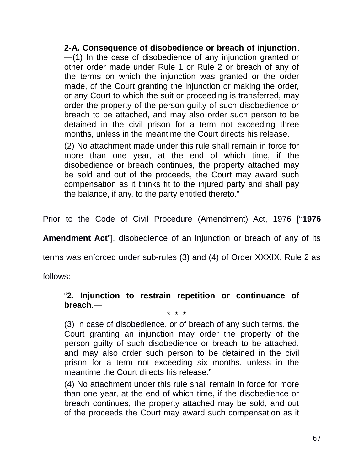**2-A. Consequence of disobedience or breach of injunction**. —(1) In the case of disobedience of any injunction granted or other order made under Rule 1 or Rule 2 or breach of any of the terms on which the injunction was granted or the order made, of the Court granting the injunction or making the order, or any Court to which the suit or proceeding is transferred, may order the property of the person guilty of such disobedience or breach to be attached, and may also order such person to be detained in the civil prison for a term not exceeding three months, unless in the meantime the Court directs his release.

(2) No attachment made under this rule shall remain in force for more than one year, at the end of which time, if the disobedience or breach continues, the property attached may be sold and out of the proceeds, the Court may award such compensation as it thinks fit to the injured party and shall pay the balance, if any, to the party entitled thereto."

Prior to the Code of Civil Procedure (Amendment) Act, 1976 ["**1976**

**Amendment Act**"], disobedience of an injunction or breach of any of its

terms was enforced under sub-rules (3) and (4) of Order XXXIX, Rule 2 as

follows:

### "**2. Injunction to restrain repetition or continuance of breach**.—

\* \* \*

(3) In case of disobedience, or of breach of any such terms, the Court granting an injunction may order the property of the person guilty of such disobedience or breach to be attached, and may also order such person to be detained in the civil prison for a term not exceeding six months, unless in the meantime the Court directs his release."

(4) No attachment under this rule shall remain in force for more than one year, at the end of which time, if the disobedience or breach continues, the property attached may be sold, and out of the proceeds the Court may award such compensation as it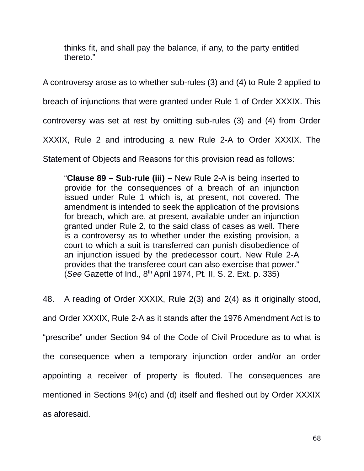thinks fit, and shall pay the balance, if any, to the party entitled thereto."

A controversy arose as to whether sub-rules (3) and (4) to Rule 2 applied to

breach of injunctions that were granted under Rule 1 of Order XXXIX. This

controversy was set at rest by omitting sub-rules (3) and (4) from Order

XXXIX, Rule 2 and introducing a new Rule 2-A to Order XXXIX. The

Statement of Objects and Reasons for this provision read as follows:

"**Clause 89 – Sub-rule (iii) –** New Rule 2-A is being inserted to provide for the consequences of a breach of an injunction issued under Rule 1 which is, at present, not covered. The amendment is intended to seek the application of the provisions for breach, which are, at present, available under an injunction granted under Rule 2, to the said class of cases as well. There is a controversy as to whether under the existing provision, a court to which a suit is transferred can punish disobedience of an injunction issued by the predecessor court. New Rule 2-A provides that the transferee court can also exercise that power." (*See* Gazette of Ind., 8th April 1974, Pt. II, S. 2. Ext. p. 335)

48. A reading of Order XXXIX, Rule 2(3) and 2(4) as it originally stood, and Order XXXIX, Rule 2-A as it stands after the 1976 Amendment Act is to "prescribe" under Section 94 of the Code of Civil Procedure as to what is the consequence when a temporary injunction order and/or an order appointing a receiver of property is flouted. The consequences are mentioned in Sections 94(c) and (d) itself and fleshed out by Order XXXIX as aforesaid.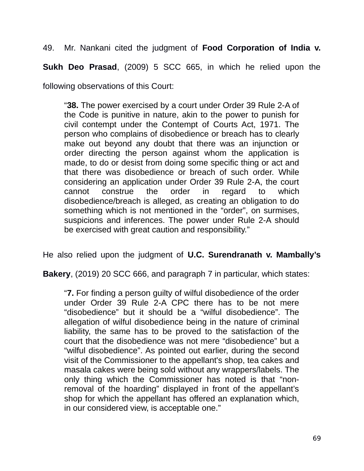49. Mr. Nankani cited the judgment of **Food Corporation of India v.**

**Sukh Deo Prasad**, (2009) 5 SCC 665, in which he relied upon the

following observations of this Court:

"**38.** The power exercised by a court under Order 39 Rule 2-A of the Code is punitive in nature, akin to the power to punish for civil contempt under the Contempt of Courts Act, 1971. The person who complains of disobedience or breach has to clearly make out beyond any doubt that there was an injunction or order directing the person against whom the application is made, to do or desist from doing some specific thing or act and that there was disobedience or breach of such order. While considering an application under Order 39 Rule 2-A, the court cannot construe the order in regard to which disobedience/breach is alleged, as creating an obligation to do something which is not mentioned in the "order", on surmises, suspicions and inferences. The power under Rule 2-A should be exercised with great caution and responsibility."

He also relied upon the judgment of **U.C. Surendranath v. Mambally's**

**Bakery**, (2019) 20 SCC 666, and paragraph 7 in particular, which states:

"**7.** For finding a person guilty of wilful disobedience of the order under Order 39 Rule 2-A CPC there has to be not mere "disobedience" but it should be a "wilful disobedience". The allegation of wilful disobedience being in the nature of criminal liability, the same has to be proved to the satisfaction of the court that the disobedience was not mere "disobedience" but a "wilful disobedience". As pointed out earlier, during the second visit of the Commissioner to the appellant's shop, tea cakes and masala cakes were being sold without any wrappers/labels. The only thing which the Commissioner has noted is that "nonremoval of the hoarding" displayed in front of the appellant's shop for which the appellant has offered an explanation which, in our considered view, is acceptable one."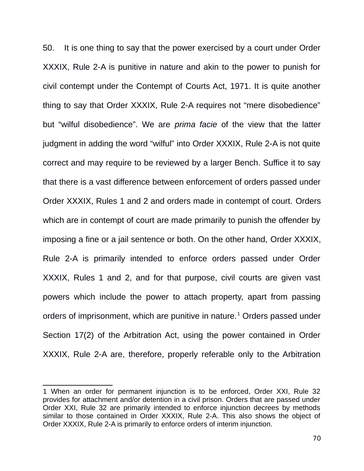50. It is one thing to say that the power exercised by a court under Order XXXIX, Rule 2-A is punitive in nature and akin to the power to punish for civil contempt under the Contempt of Courts Act, 1971. It is quite another thing to say that Order XXXIX, Rule 2-A requires not "mere disobedience" but "wilful disobedience". We are *prima facie* of the view that the latter judgment in adding the word "wilful" into Order XXXIX, Rule 2-A is not quite correct and may require to be reviewed by a larger Bench. Suffice it to say that there is a vast difference between enforcement of orders passed under Order XXXIX, Rules 1 and 2 and orders made in contempt of court. Orders which are in contempt of court are made primarily to punish the offender by imposing a fine or a jail sentence or both. On the other hand, Order XXXIX, Rule 2-A is primarily intended to enforce orders passed under Order XXXIX, Rules 1 and 2, and for that purpose, civil courts are given vast powers which include the power to attach property, apart from passing orders of imprisonment, which are punitive in nature.<sup>[1](#page-69-0)</sup> Orders passed under Section 17(2) of the Arbitration Act, using the power contained in Order XXXIX, Rule 2-A are, therefore, properly referable only to the Arbitration

<span id="page-69-0"></span><sup>1</sup> When an order for permanent injunction is to be enforced, Order XXI, Rule 32 provides for attachment and/or detention in a civil prison. Orders that are passed under Order XXI, Rule 32 are primarily intended to enforce injunction decrees by methods similar to those contained in Order XXXIX, Rule 2-A. This also shows the object of Order XXXIX, Rule 2-A is primarily to enforce orders of interim injunction.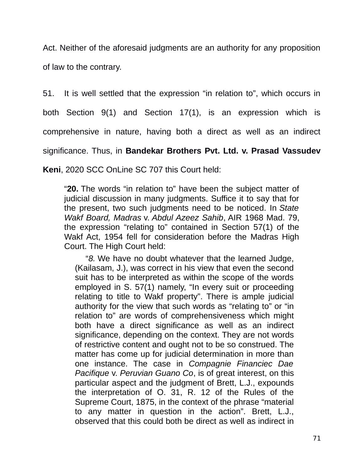Act. Neither of the aforesaid judgments are an authority for any proposition of law to the contrary.

51. It is well settled that the expression "in relation to", which occurs in

both Section 9(1) and Section 17(1), is an expression which is

comprehensive in nature, having both a direct as well as an indirect

significance. Thus, in **Bandekar Brothers Pvt. Ltd. v. Prasad Vassudev**

**Keni**, 2020 SCC OnLine SC 707 this Court held:

"**20.** The words "in relation to" have been the subject matter of judicial discussion in many judgments. Suffice it to say that for the present, two such judgments need to be noticed. In *State Wakf Board, Madras* v. *Abdul Azeez Sahib*, AIR 1968 Mad. 79, the expression "relating to" contained in Section 57(1) of the Wakf Act, 1954 fell for consideration before the Madras High Court. The High Court held:

"*8.* We have no doubt whatever that the learned Judge, (Kailasam, J.), was correct in his view that even the second suit has to be interpreted as within the scope of the words employed in S. 57(1) namely, "In every suit or proceeding relating to title to Wakf property". There is ample judicial authority for the view that such words as "relating to" or "in relation to" are words of comprehensiveness which might both have a direct significance as well as an indirect significance, depending on the context. They are not words of restrictive content and ought not to be so construed. The matter has come up for judicial determination in more than one instance. The case in *Compagnie Financiec Dae Pacifique* v. *Peruvian Guano Co*, is of great interest, on this particular aspect and the judgment of Brett, L.J., expounds the interpretation of O. 31, R. 12 of the Rules of the Supreme Court, 1875, in the context of the phrase "material to any matter in question in the action". Brett, L.J., observed that this could both be direct as well as indirect in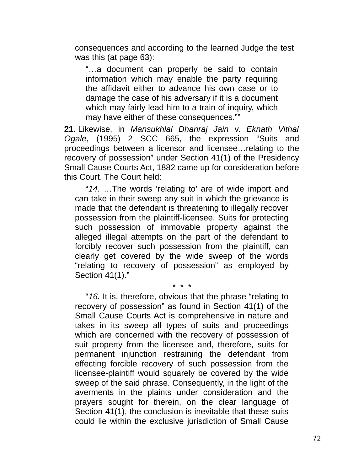consequences and according to the learned Judge the test was this (at page 63):

"…a document can properly be said to contain information which may enable the party requiring the affidavit either to advance his own case or to damage the case of his adversary if it is a document which may fairly lead him to a train of inquiry, which may have either of these consequences.""

**21.** Likewise, in *Mansukhlal Dhanraj Jain* v. *Eknath Vithal Ogale*, (1995) 2 SCC 665, the expression "Suits and proceedings between a licensor and licensee…relating to the recovery of possession" under Section 41(1) of the Presidency Small Cause Courts Act, 1882 came up for consideration before this Court. The Court held:

"*14.* …The words 'relating to' are of wide import and can take in their sweep any suit in which the grievance is made that the defendant is threatening to illegally recover possession from the plaintiff-licensee. Suits for protecting such possession of immovable property against the alleged illegal attempts on the part of the defendant to forcibly recover such possession from the plaintiff, can clearly get covered by the wide sweep of the words "relating to recovery of possession" as employed by Section 41(1)."

\* \* \* "*16.* It is, therefore, obvious that the phrase "relating to recovery of possession" as found in Section 41(1) of the Small Cause Courts Act is comprehensive in nature and takes in its sweep all types of suits and proceedings which are concerned with the recovery of possession of suit property from the licensee and, therefore, suits for permanent injunction restraining the defendant from effecting forcible recovery of such possession from the licensee-plaintiff would squarely be covered by the wide sweep of the said phrase. Consequently, in the light of the averments in the plaints under consideration and the prayers sought for therein, on the clear language of Section 41(1), the conclusion is inevitable that these suits could lie within the exclusive jurisdiction of Small Cause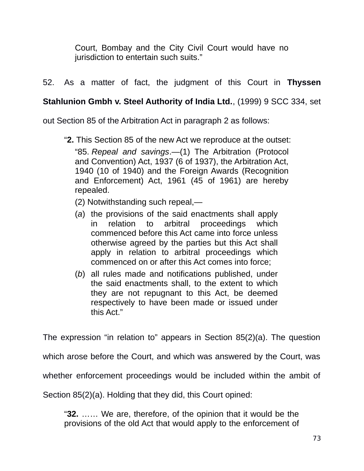Court, Bombay and the City Civil Court would have no jurisdiction to entertain such suits."

52. As a matter of fact, the judgment of this Court in **Thyssen**

## **Stahlunion Gmbh v. Steel Authority of India Ltd.**, (1999) 9 SCC 334, set

out Section 85 of the Arbitration Act in paragraph 2 as follows:

"**2.** This Section 85 of the new Act we reproduce at the outset:

"85. *Repeal and savings*.—(1) The Arbitration (Protocol and Convention) Act, 1937 (6 of 1937), the Arbitration Act, 1940 (10 of 1940) and the Foreign Awards (Recognition and Enforcement) Act, 1961 (45 of 1961) are hereby repealed.

- (2) Notwithstanding such repeal,—
- (*a*) the provisions of the said enactments shall apply in relation to arbitral proceedings which commenced before this Act came into force unless otherwise agreed by the parties but this Act shall apply in relation to arbitral proceedings which commenced on or after this Act comes into force;
- (*b*) all rules made and notifications published, under the said enactments shall, to the extent to which they are not repugnant to this Act, be deemed respectively to have been made or issued under this Act."

The expression "in relation to" appears in Section 85(2)(a). The question

which arose before the Court, and which was answered by the Court, was

whether enforcement proceedings would be included within the ambit of

Section 85(2)(a). Holding that they did, this Court opined:

"**32.** …… We are, therefore, of the opinion that it would be the provisions of the old Act that would apply to the enforcement of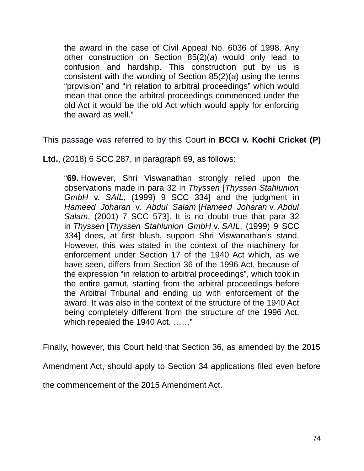the award in the case of Civil Appeal No. 6036 of 1998. Any other construction on Section 85(2)(*a*) would only lead to confusion and hardship. This construction put by us is consistent with the wording of Section 85(2)(*a*) using the terms "provision" and "in relation to arbitral proceedings" which would mean that once the arbitral proceedings commenced under the old Act it would be the old Act which would apply for enforcing the award as well."

This passage was referred to by this Court in **BCCI v. Kochi Cricket (P)**

**Ltd.**, (2018) 6 SCC 287, in paragraph 69, as follows:

"**69.** However, Shri Viswanathan strongly relied upon the observations made in para 32 in *Thyssen* [*Thyssen Stahlunion GmbH* v. *SAIL*, (1999) 9 SCC 334] and the judgment in *Hameed Joharan* v. *Abdul Salam* [*Hameed Joharan* v. *Abdul Salam*, (2001) 7 SCC 573]. It is no doubt true that para 32 in *Thyssen* [*Thyssen Stahlunion GmbH* v. *SAIL*, (1999) 9 SCC 334] does, at first blush, support Shri Viswanathan's stand. However, this was stated in the context of the machinery for enforcement under Section 17 of the 1940 Act which, as we have seen, differs from Section 36 of the 1996 Act, because of the expression "in relation to arbitral proceedings", which took in the entire gamut, starting from the arbitral proceedings before the Arbitral Tribunal and ending up with enforcement of the award. It was also in the context of the structure of the 1940 Act being completely different from the structure of the 1996 Act, which repealed the 1940 Act. ……"

Finally, however, this Court held that Section 36, as amended by the 2015

Amendment Act, should apply to Section 34 applications filed even before

the commencement of the 2015 Amendment Act.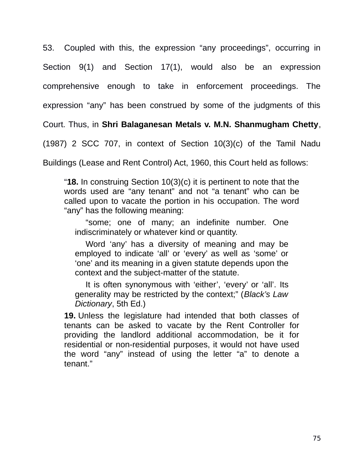53. Coupled with this, the expression "any proceedings", occurring in Section 9(1) and Section 17(1), would also be an expression comprehensive enough to take in enforcement proceedings. The expression "any" has been construed by some of the judgments of this

Court. Thus, in **Shri Balaganesan Metals v. M.N. Shanmugham Chetty**,

(1987) 2 SCC 707, in context of Section 10(3)(c) of the Tamil Nadu

Buildings (Lease and Rent Control) Act, 1960, this Court held as follows:

"**18.** In construing Section 10(3)(c) it is pertinent to note that the words used are "any tenant" and not "a tenant" who can be called upon to vacate the portion in his occupation. The word "any" has the following meaning:

"some; one of many; an indefinite number. One indiscriminately or whatever kind or quantity.

Word 'any' has a diversity of meaning and may be employed to indicate 'all' or 'every' as well as 'some' or 'one' and its meaning in a given statute depends upon the context and the subject-matter of the statute.

It is often synonymous with 'either', 'every' or 'all'. Its generality may be restricted by the context;" (*Black's Law Dictionary*, 5th Ed.)

**19.** Unless the legislature had intended that both classes of tenants can be asked to vacate by the Rent Controller for providing the landlord additional accommodation, be it for residential or non-residential purposes, it would not have used the word "any" instead of using the letter "a" to denote a tenant."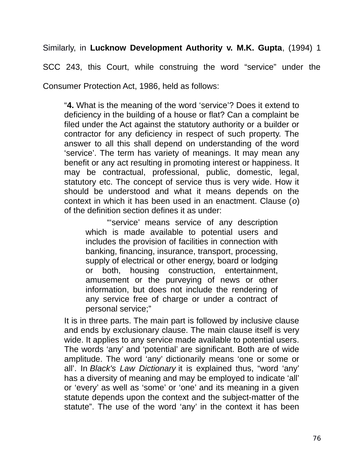Similarly, in **Lucknow Development Authority v. M.K. Gupta**, (1994) 1

SCC 243, this Court, while construing the word "service" under the

Consumer Protection Act, 1986, held as follows:

"**4.** What is the meaning of the word 'service'? Does it extend to deficiency in the building of a house or flat? Can a complaint be filed under the Act against the statutory authority or a builder or contractor for any deficiency in respect of such property. The answer to all this shall depend on understanding of the word 'service'. The term has variety of meanings. It may mean any benefit or any act resulting in promoting interest or happiness. It may be contractual, professional, public, domestic, legal, statutory etc. The concept of service thus is very wide. How it should be understood and what it means depends on the context in which it has been used in an enactment. Clause (*o*) of the definition section defines it as under:

"'service' means service of any description which is made available to potential users and includes the provision of facilities in connection with banking, financing, insurance, transport, processing, supply of electrical or other energy, board or lodging or both, housing construction, entertainment, amusement or the purveying of news or other information, but does not include the rendering of any service free of charge or under a contract of personal service;"

It is in three parts. The main part is followed by inclusive clause and ends by exclusionary clause. The main clause itself is very wide. It applies to any service made available to potential users. The words 'any' and 'potential' are significant. Both are of wide amplitude. The word 'any' dictionarily means 'one or some or all'. In *Black's Law Dictionary* it is explained thus, "word 'any' has a diversity of meaning and may be employed to indicate 'all' or 'every' as well as 'some' or 'one' and its meaning in a given statute depends upon the context and the subject-matter of the statute". The use of the word 'any' in the context it has been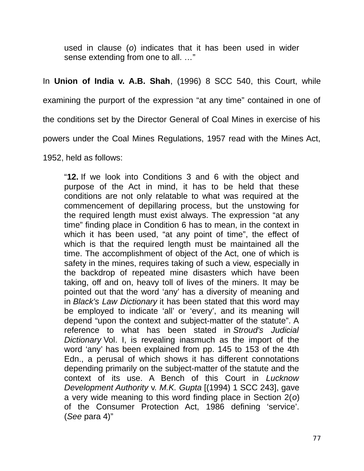used in clause (*o*) indicates that it has been used in wider sense extending from one to all. …"

## In **Union of India v. A.B. Shah**, (1996) 8 SCC 540, this Court, while

examining the purport of the expression "at any time" contained in one of

the conditions set by the Director General of Coal Mines in exercise of his

powers under the Coal Mines Regulations, 1957 read with the Mines Act,

1952, held as follows:

"**12.** If we look into Conditions 3 and 6 with the object and purpose of the Act in mind, it has to be held that these conditions are not only relatable to what was required at the commencement of depillaring process, but the unstowing for the required length must exist always. The expression "at any time" finding place in Condition 6 has to mean, in the context in which it has been used, "at any point of time", the effect of which is that the required length must be maintained all the time. The accomplishment of object of the Act, one of which is safety in the mines, requires taking of such a view, especially in the backdrop of repeated mine disasters which have been taking, off and on, heavy toll of lives of the miners. It may be pointed out that the word 'any' has a diversity of meaning and in *Black's Law Dictionary* it has been stated that this word may be employed to indicate 'all' or 'every', and its meaning will depend "upon the context and subject-matter of the statute". A reference to what has been stated in *Stroud's Judicial Dictionary* Vol. I, is revealing inasmuch as the import of the word 'any' has been explained from pp. 145 to 153 of the 4th Edn., a perusal of which shows it has different connotations depending primarily on the subject-matter of the statute and the context of its use. A Bench of this Court in *Lucknow Development Authority* v. *M.K. Gupta* [(1994) 1 SCC 243], gave a very wide meaning to this word finding place in Section 2(*o*) of the Consumer Protection Act, 1986 defining 'service'. (*See* para 4)"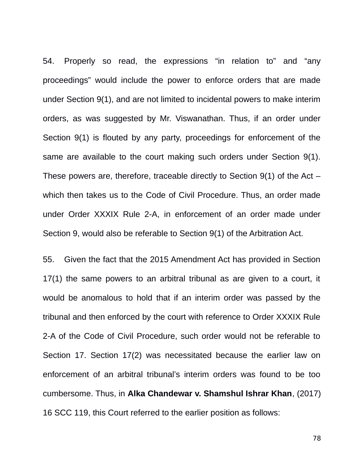54. Properly so read, the expressions "in relation to" and "any proceedings" would include the power to enforce orders that are made under Section 9(1), and are not limited to incidental powers to make interim orders, as was suggested by Mr. Viswanathan. Thus, if an order under Section 9(1) is flouted by any party, proceedings for enforcement of the same are available to the court making such orders under Section 9(1). These powers are, therefore, traceable directly to Section  $9(1)$  of the Act – which then takes us to the Code of Civil Procedure. Thus, an order made under Order XXXIX Rule 2-A, in enforcement of an order made under Section 9, would also be referable to Section 9(1) of the Arbitration Act.

55. Given the fact that the 2015 Amendment Act has provided in Section 17(1) the same powers to an arbitral tribunal as are given to a court, it would be anomalous to hold that if an interim order was passed by the tribunal and then enforced by the court with reference to Order XXXIX Rule 2-A of the Code of Civil Procedure, such order would not be referable to Section 17. Section 17(2) was necessitated because the earlier law on enforcement of an arbitral tribunal's interim orders was found to be too cumbersome. Thus, in **Alka Chandewar v. Shamshul Ishrar Khan**, (2017) 16 SCC 119, this Court referred to the earlier position as follows: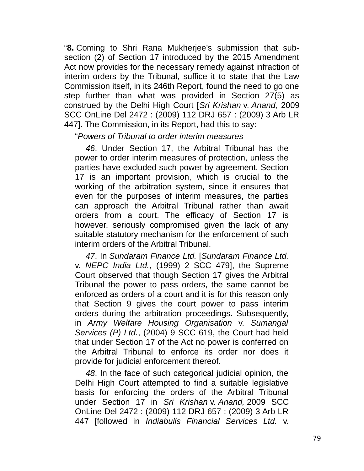"**8.** Coming to Shri Rana Mukherjee's submission that subsection (2) of Section 17 introduced by the 2015 Amendment Act now provides for the necessary remedy against infraction of interim orders by the Tribunal, suffice it to state that the Law Commission itself, in its 246th Report, found the need to go one step further than what was provided in Section 27(5) as construed by the Delhi High Court [*Sri Krishan* v. *Anand*, 2009 SCC OnLine Del 2472 : (2009) 112 DRJ 657 : (2009) 3 Arb LR 447]. The Commission, in its Report, had this to say:

"*Powers of Tribunal to order interim measures*

*46*. Under Section 17, the Arbitral Tribunal has the power to order interim measures of protection, unless the parties have excluded such power by agreement. Section 17 is an important provision, which is crucial to the working of the arbitration system, since it ensures that even for the purposes of interim measures, the parties can approach the Arbitral Tribunal rather than await orders from a court. The efficacy of Section 17 is however, seriously compromised given the lack of any suitable statutory mechanism for the enforcement of such interim orders of the Arbitral Tribunal.

*47*. In *Sundaram Finance Ltd.* [*Sundaram Finance Ltd.* v. *NEPC India Ltd.*, (1999) 2 SCC 479], the Supreme Court observed that though Section 17 gives the Arbitral Tribunal the power to pass orders, the same cannot be enforced as orders of a court and it is for this reason only that Section 9 gives the court power to pass interim orders during the arbitration proceedings. Subsequently, in *Army Welfare Housing Organisation* v. *Sumangal Services (P) Ltd.*, (2004) 9 SCC 619, the Court had held that under Section 17 of the Act no power is conferred on the Arbitral Tribunal to enforce its order nor does it provide for judicial enforcement thereof.

*48*. In the face of such categorical judicial opinion, the Delhi High Court attempted to find a suitable legislative basis for enforcing the orders of the Arbitral Tribunal under Section 17 in *Sri Krishan* v. *Anand,* 2009 SCC OnLine Del 2472 : (2009) 112 DRJ 657 : (2009) 3 Arb LR 447 [followed in *Indiabulls Financial Services Ltd.* v.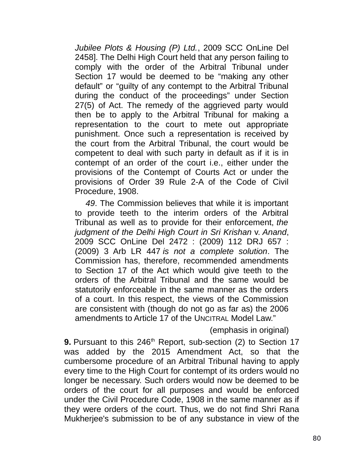*Jubilee Plots & Housing (P) Ltd.*, 2009 SCC OnLine Del 2458]. The Delhi High Court held that any person failing to comply with the order of the Arbitral Tribunal under Section 17 would be deemed to be "making any other default" or "guilty of any contempt to the Arbitral Tribunal during the conduct of the proceedings" under Section 27(5) of Act. The remedy of the aggrieved party would then be to apply to the Arbitral Tribunal for making a representation to the court to mete out appropriate punishment. Once such a representation is received by the court from the Arbitral Tribunal, the court would be competent to deal with such party in default as if it is in contempt of an order of the court i.e., either under the provisions of the Contempt of Courts Act or under the provisions of Order 39 Rule 2-A of the Code of Civil Procedure, 1908.

*49*. The Commission believes that while it is important to provide teeth to the interim orders of the Arbitral Tribunal as well as to provide for their enforcement, *the judgment of the Delhi High Court in Sri Krishan* v. *Anand*, 2009 SCC OnLine Del 2472 : (2009) 112 DRJ 657 : (2009) 3 Arb LR 447 *is not a complete solution*. The Commission has, therefore, recommended amendments to Section 17 of the Act which would give teeth to the orders of the Arbitral Tribunal and the same would be statutorily enforceable in the same manner as the orders of a court. In this respect, the views of the Commission are consistent with (though do not go as far as) the 2006 amendments to Article 17 of the UNCITRAL Model Law."

(emphasis in original)

**9.** Pursuant to this 246<sup>th</sup> Report, sub-section (2) to Section 17 was added by the 2015 Amendment Act, so that the cumbersome procedure of an Arbitral Tribunal having to apply every time to the High Court for contempt of its orders would no longer be necessary. Such orders would now be deemed to be orders of the court for all purposes and would be enforced under the Civil Procedure Code, 1908 in the same manner as if they were orders of the court. Thus, we do not find Shri Rana Mukherjee's submission to be of any substance in view of the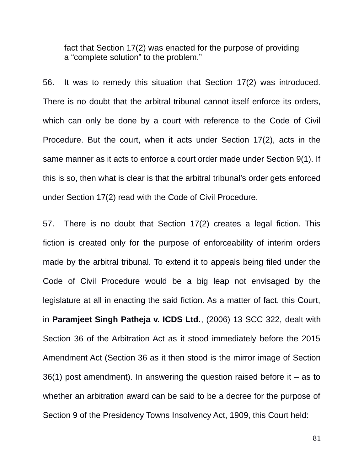fact that Section 17(2) was enacted for the purpose of providing a "complete solution" to the problem."

56. It was to remedy this situation that Section 17(2) was introduced. There is no doubt that the arbitral tribunal cannot itself enforce its orders, which can only be done by a court with reference to the Code of Civil Procedure. But the court, when it acts under Section 17(2), acts in the same manner as it acts to enforce a court order made under Section 9(1). If this is so, then what is clear is that the arbitral tribunal's order gets enforced under Section 17(2) read with the Code of Civil Procedure.

57. There is no doubt that Section 17(2) creates a legal fiction. This fiction is created only for the purpose of enforceability of interim orders made by the arbitral tribunal. To extend it to appeals being filed under the Code of Civil Procedure would be a big leap not envisaged by the legislature at all in enacting the said fiction. As a matter of fact, this Court, in **Paramjeet Singh Patheja v. ICDS Ltd.**, (2006) 13 SCC 322, dealt with Section 36 of the Arbitration Act as it stood immediately before the 2015 Amendment Act (Section 36 as it then stood is the mirror image of Section 36(1) post amendment). In answering the question raised before it  $-$  as to whether an arbitration award can be said to be a decree for the purpose of Section 9 of the Presidency Towns Insolvency Act, 1909, this Court held: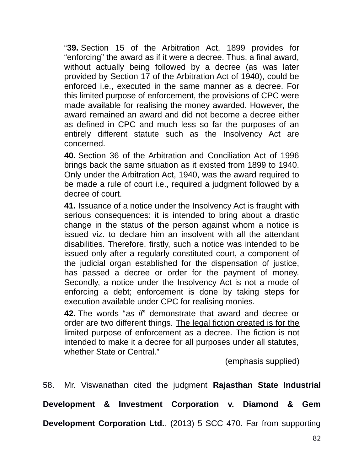"**39.** Section 15 of the Arbitration Act, 1899 provides for "enforcing" the award as if it were a decree. Thus, a final award, without actually being followed by a decree (as was later provided by Section 17 of the Arbitration Act of 1940), could be enforced i.e., executed in the same manner as a decree. For this limited purpose of enforcement, the provisions of CPC were made available for realising the money awarded. However, the award remained an award and did not become a decree either as defined in CPC and much less so far the purposes of an entirely different statute such as the Insolvency Act are concerned.

**40.** Section 36 of the Arbitration and Conciliation Act of 1996 brings back the same situation as it existed from 1899 to 1940. Only under the Arbitration Act, 1940, was the award required to be made a rule of court i.e., required a judgment followed by a decree of court.

**41.** Issuance of a notice under the Insolvency Act is fraught with serious consequences: it is intended to bring about a drastic change in the status of the person against whom a notice is issued viz. to declare him an insolvent with all the attendant disabilities. Therefore, firstly, such a notice was intended to be issued only after a regularly constituted court, a component of the judicial organ established for the dispensation of justice, has passed a decree or order for the payment of money. Secondly, a notice under the Insolvency Act is not a mode of enforcing a debt; enforcement is done by taking steps for execution available under CPC for realising monies.

**42.** The words "*as if*" demonstrate that award and decree or order are two different things. The legal fiction created is for the limited purpose of enforcement as a decree. The fiction is not intended to make it a decree for all purposes under all statutes, whether State or Central."

(emphasis supplied)

58. Mr. Viswanathan cited the judgment **Rajasthan State Industrial**

**Development & Investment Corporation v. Diamond & Gem**

**Development Corporation Ltd.**, (2013) 5 SCC 470. Far from supporting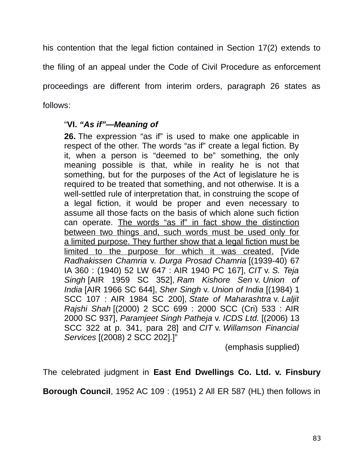his contention that the legal fiction contained in Section 17(2) extends to the filing of an appeal under the Code of Civil Procedure as enforcement proceedings are different from interim orders, paragraph 26 states as follows:

## "**VI.** *"As if"—Meaning of*

**26.** The expression "as if" is used to make one applicable in respect of the other. The words "as if" create a legal fiction. By it, when a person is "deemed to be" something, the only meaning possible is that, while in reality he is not that something, but for the purposes of the Act of legislature he is required to be treated that something, and not otherwise. It is a well-settled rule of interpretation that, in construing the scope of a legal fiction, it would be proper and even necessary to assume all those facts on the basis of which alone such fiction can operate. The words "as if" in fact show the distinction between two things and, such words must be used only for a limited purpose. They further show that a legal fiction must be limited to the purpose for which it was created. [Vide *Radhakissen Chamria* v. *Durga Prosad Chamria* [(1939-40) 67 IA 360 : (1940) 52 LW 647 : AIR 1940 PC 167], *CIT* v. *S. Teja Singh* [AIR 1959 SC 352], *Ram Kishore Sen* v. *Union of India* [AIR 1966 SC 644], *Sher Singh* v. *Union of India* [(1984) 1 SCC 107 : AIR 1984 SC 200], *State of Maharashtra* v. *Laljit Rajshi Shah* [(2000) 2 SCC 699 : 2000 SCC (Cri) 533 : AIR 2000 SC 937], *Paramjeet Singh Patheja* v. *ICDS Ltd.* [(2006) 13 SCC 322 at p. 341, para 28] and *CIT* v. *Willamson Financial Services* [(2008) 2 SCC 202].]"

(emphasis supplied)

The celebrated judgment in **East End Dwellings Co. Ltd. v. Finsbury**

**Borough Council**, 1952 AC 109 : (1951) 2 All ER 587 (HL) then follows in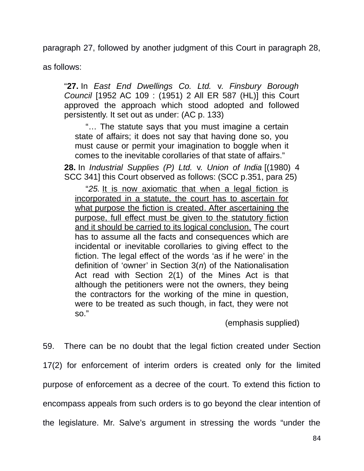paragraph 27, followed by another judgment of this Court in paragraph 28,

as follows:

"**27.** In *East End Dwellings Co. Ltd.* v. *Finsbury Borough Council* [1952 AC 109 : (1951) 2 All ER 587 (HL)] this Court approved the approach which stood adopted and followed persistently. It set out as under: (AC p. 133)

"… The statute says that you must imagine a certain state of affairs; it does not say that having done so, you must cause or permit your imagination to boggle when it comes to the inevitable corollaries of that state of affairs."

**28.** In *Industrial Supplies (P) Ltd.* v. *Union of India* [(1980) 4 SCC 341] this Court observed as follows: (SCC p.351, para 25)

"*25.* It is now axiomatic that when a legal fiction is incorporated in a statute, the court has to ascertain for what purpose the fiction is created. After ascertaining the purpose, full effect must be given to the statutory fiction and it should be carried to its logical conclusion. The court has to assume all the facts and consequences which are incidental or inevitable corollaries to giving effect to the fiction. The legal effect of the words 'as if he were' in the definition of 'owner' in Section 3(*n*) of the Nationalisation Act read with Section 2(1) of the Mines Act is that although the petitioners were not the owners, they being the contractors for the working of the mine in question, were to be treated as such though, in fact, they were not so."

(emphasis supplied)

59. There can be no doubt that the legal fiction created under Section 17(2) for enforcement of interim orders is created only for the limited purpose of enforcement as a decree of the court. To extend this fiction to encompass appeals from such orders is to go beyond the clear intention of the legislature. Mr. Salve's argument in stressing the words "under the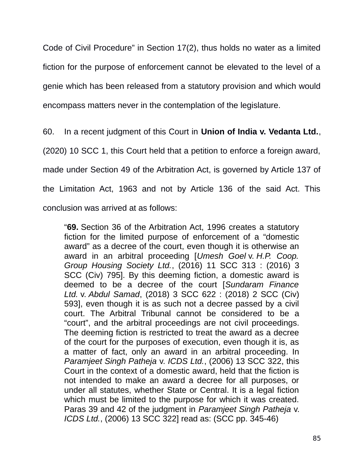Code of Civil Procedure" in Section 17(2), thus holds no water as a limited fiction for the purpose of enforcement cannot be elevated to the level of a genie which has been released from a statutory provision and which would encompass matters never in the contemplation of the legislature.

60. In a recent judgment of this Court in **Union of India v. Vedanta Ltd.**,

(2020) 10 SCC 1, this Court held that a petition to enforce a foreign award,

made under Section 49 of the Arbitration Act, is governed by Article 137 of

the Limitation Act, 1963 and not by Article 136 of the said Act. This

conclusion was arrived at as follows:

"**69.** Section 36 of the Arbitration Act, 1996 creates a statutory fiction for the limited purpose of enforcement of a "domestic award" as a decree of the court, even though it is otherwise an award in an arbitral proceeding [*Umesh Goel* v. *H.P. Coop. Group Housing Society Ltd.*, (2016) 11 SCC 313 : (2016) 3 SCC (Civ) 795]. By this deeming fiction, a domestic award is deemed to be a decree of the court [*Sundaram Finance Ltd.* v. *Abdul Samad*, (2018) 3 SCC 622 : (2018) 2 SCC (Civ) 593], even though it is as such not a decree passed by a civil court. The Arbitral Tribunal cannot be considered to be a "court", and the arbitral proceedings are not civil proceedings. The deeming fiction is restricted to treat the award as a decree of the court for the purposes of execution, even though it is, as a matter of fact, only an award in an arbitral proceeding. In *Paramjeet Singh Patheja* v. *ICDS Ltd.*, (2006) 13 SCC 322, this Court in the context of a domestic award, held that the fiction is not intended to make an award a decree for all purposes, or under all statutes, whether State or Central. It is a legal fiction which must be limited to the purpose for which it was created. Paras 39 and 42 of the judgment in *Paramjeet Singh Patheja* v. *ICDS Ltd.*, (2006) 13 SCC 322] read as: (SCC pp. 345-46)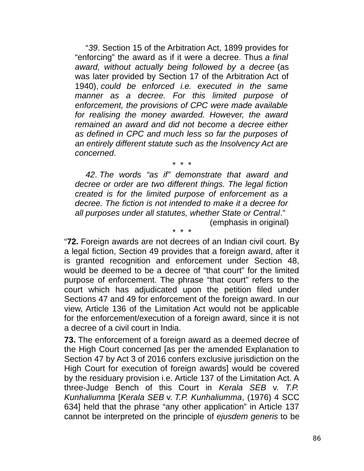"*39*. Section 15 of the Arbitration Act, 1899 provides for "enforcing" the award as if it were a decree. Thus *a final award, without actually being followed by a decree* (as was later provided by Section 17 of the Arbitration Act of 1940), *could be enforced i.e. executed in the same manner as a decree. For this limited purpose of enforcement, the provisions of CPC were made available for realising the money awarded. However, the award remained an award and did not become a decree either as defined in CPC and much less so far the purposes of an entirely different statute such as the Insolvency Act are concerned*.

*42*. *The words "as if" demonstrate that award and decree or order are two different things. The legal fiction created is for the limited purpose of enforcement as a decree. The fiction is not intended to make it a decree for all purposes under all statutes, whether State or Central*."

\* \* \*

\* \* \*

(emphasis in original)

"**72.** Foreign awards are not decrees of an Indian civil court. By a legal fiction, Section 49 provides that a foreign award, after it is granted recognition and enforcement under Section 48, would be deemed to be a decree of "that court" for the limited purpose of enforcement. The phrase "that court" refers to the court which has adjudicated upon the petition filed under Sections 47 and 49 for enforcement of the foreign award. In our view, Article 136 of the Limitation Act would not be applicable for the enforcement/execution of a foreign award, since it is not a decree of a civil court in India.

**73.** The enforcement of a foreign award as a deemed decree of the High Court concerned [as per the amended Explanation to Section 47 by Act 3 of 2016 confers exclusive jurisdiction on the High Court for execution of foreign awards] would be covered by the residuary provision i.e. Article 137 of the Limitation Act. A three-Judge Bench of this Court in *Kerala SEB* v. *T.P. Kunhaliumma* [*Kerala SEB* v. *T.P. Kunhaliumma*, (1976) 4 SCC 634] held that the phrase "any other application" in Article 137 cannot be interpreted on the principle of *ejusdem generis* to be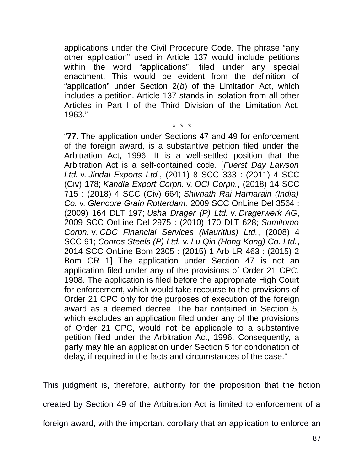applications under the Civil Procedure Code. The phrase "any other application" used in Article 137 would include petitions within the word "applications", filed under any special enactment. This would be evident from the definition of "application" under Section 2(*b*) of the Limitation Act, which includes a petition. Article 137 stands in isolation from all other Articles in Part I of the Third Division of the Limitation Act, 1963."

\* \* \*

"**77.** The application under Sections 47 and 49 for enforcement of the foreign award, is a substantive petition filed under the Arbitration Act, 1996. It is a well-settled position that the Arbitration Act is a self-contained code. [*Fuerst Day Lawson Ltd.* v. *Jindal Exports Ltd.*, (2011) 8 SCC 333 : (2011) 4 SCC (Civ) 178; *Kandla Export Corpn.* v. *OCI Corpn.*, (2018) 14 SCC 715 : (2018) 4 SCC (Civ) 664; *Shivnath Rai Harnarain (India) Co.* v. *Glencore Grain Rotterdam*, 2009 SCC OnLine Del 3564 : (2009) 164 DLT 197; *Usha Drager (P) Ltd.* v. *Dragerwerk AG*, 2009 SCC OnLine Del 2975 : (2010) 170 DLT 628; *Sumitomo Corpn.* v. *CDC Financial Services (Mauritius) Ltd.*, (2008) 4 SCC 91; *Conros Steels (P) Ltd.* v. *Lu Qin (Hong Kong) Co. Ltd.*, 2014 SCC OnLine Bom 2305 : (2015) 1 Arb LR 463 : (2015) 2 Bom CR 1] The application under Section 47 is not an application filed under any of the provisions of Order 21 CPC, 1908. The application is filed before the appropriate High Court for enforcement, which would take recourse to the provisions of Order 21 CPC only for the purposes of execution of the foreign award as a deemed decree. The bar contained in Section 5, which excludes an application filed under any of the provisions of Order 21 CPC, would not be applicable to a substantive petition filed under the Arbitration Act, 1996. Consequently, a party may file an application under Section 5 for condonation of delay, if required in the facts and circumstances of the case."

This judgment is, therefore, authority for the proposition that the fiction created by Section 49 of the Arbitration Act is limited to enforcement of a foreign award, with the important corollary that an application to enforce an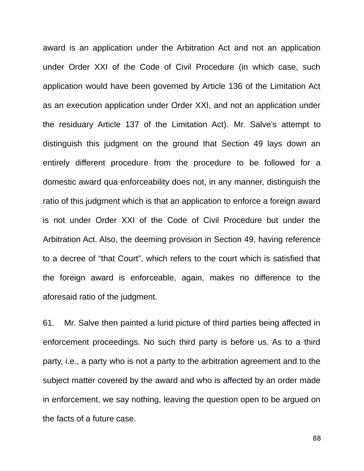award is an application under the Arbitration Act and not an application under Order XXI of the Code of Civil Procedure (in which case, such application would have been governed by Article 136 of the Limitation Act as an execution application under Order XXI, and not an application under the residuary Article 137 of the Limitation Act). Mr. Salve's attempt to distinguish this judgment on the ground that Section 49 lays down an entirely different procedure from the procedure to be followed for a domestic award qua enforceability does not, in any manner, distinguish the ratio of this judgment which is that an application to enforce a foreign award is not under Order XXI of the Code of Civil Procedure but under the Arbitration Act. Also, the deeming provision in Section 49, having reference to a decree of "that Court", which refers to the court which is satisfied that the foreign award is enforceable, again, makes no difference to the aforesaid ratio of the judgment.

61. Mr. Salve then painted a lurid picture of third parties being affected in enforcement proceedings. No such third party is before us. As to a third party, i.e., a party who is not a party to the arbitration agreement and to the subject matter covered by the award and who is affected by an order made in enforcement, we say nothing, leaving the question open to be argued on the facts of a future case.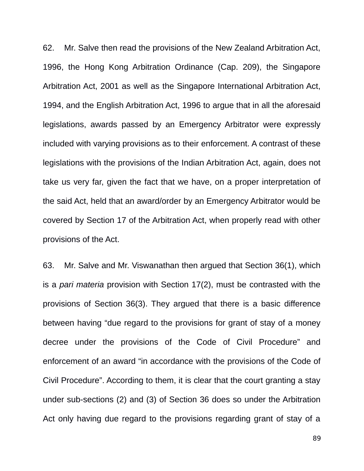62. Mr. Salve then read the provisions of the New Zealand Arbitration Act, 1996, the Hong Kong Arbitration Ordinance (Cap. 209), the Singapore Arbitration Act, 2001 as well as the Singapore International Arbitration Act, 1994, and the English Arbitration Act, 1996 to argue that in all the aforesaid legislations, awards passed by an Emergency Arbitrator were expressly included with varying provisions as to their enforcement. A contrast of these legislations with the provisions of the Indian Arbitration Act, again, does not take us very far, given the fact that we have, on a proper interpretation of the said Act, held that an award/order by an Emergency Arbitrator would be covered by Section 17 of the Arbitration Act, when properly read with other provisions of the Act.

63. Mr. Salve and Mr. Viswanathan then argued that Section 36(1), which is a *pari materia* provision with Section 17(2), must be contrasted with the provisions of Section 36(3). They argued that there is a basic difference between having "due regard to the provisions for grant of stay of a money decree under the provisions of the Code of Civil Procedure" and enforcement of an award "in accordance with the provisions of the Code of Civil Procedure". According to them, it is clear that the court granting a stay under sub-sections (2) and (3) of Section 36 does so under the Arbitration Act only having due regard to the provisions regarding grant of stay of a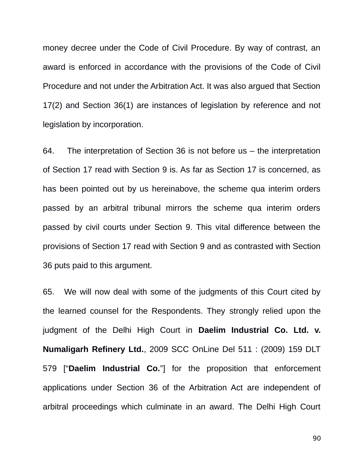money decree under the Code of Civil Procedure. By way of contrast, an award is enforced in accordance with the provisions of the Code of Civil Procedure and not under the Arbitration Act. It was also argued that Section 17(2) and Section 36(1) are instances of legislation by reference and not legislation by incorporation.

64. The interpretation of Section 36 is not before us – the interpretation of Section 17 read with Section 9 is. As far as Section 17 is concerned, as has been pointed out by us hereinabove, the scheme qua interim orders passed by an arbitral tribunal mirrors the scheme qua interim orders passed by civil courts under Section 9. This vital difference between the provisions of Section 17 read with Section 9 and as contrasted with Section 36 puts paid to this argument.

65. We will now deal with some of the judgments of this Court cited by the learned counsel for the Respondents. They strongly relied upon the judgment of the Delhi High Court in **Daelim Industrial Co. Ltd. v. Numaligarh Refinery Ltd.**, 2009 SCC OnLine Del 511 : (2009) 159 DLT 579 ["**Daelim Industrial Co.**"] for the proposition that enforcement applications under Section 36 of the Arbitration Act are independent of arbitral proceedings which culminate in an award. The Delhi High Court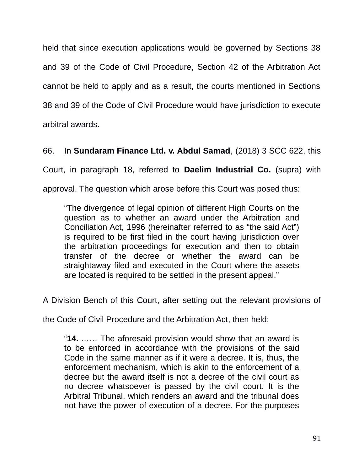held that since execution applications would be governed by Sections 38 and 39 of the Code of Civil Procedure, Section 42 of the Arbitration Act cannot be held to apply and as a result, the courts mentioned in Sections 38 and 39 of the Code of Civil Procedure would have jurisdiction to execute arbitral awards.

66. In **Sundaram Finance Ltd. v. Abdul Samad**, (2018) 3 SCC 622, this Court, in paragraph 18, referred to **Daelim Industrial Co.** (supra) with approval. The question which arose before this Court was posed thus:

"The divergence of legal opinion of different High Courts on the question as to whether an award under the Arbitration and Conciliation Act, 1996 (hereinafter referred to as "the said Act") is required to be first filed in the court having jurisdiction over the arbitration proceedings for execution and then to obtain transfer of the decree or whether the award can be straightaway filed and executed in the Court where the assets are located is required to be settled in the present appeal."

A Division Bench of this Court, after setting out the relevant provisions of

the Code of Civil Procedure and the Arbitration Act, then held:

"**14.** …… The aforesaid provision would show that an award is to be enforced in accordance with the provisions of the said Code in the same manner as if it were a decree. It is, thus, the enforcement mechanism, which is akin to the enforcement of a decree but the award itself is not a decree of the civil court as no decree whatsoever is passed by the civil court. It is the Arbitral Tribunal, which renders an award and the tribunal does not have the power of execution of a decree. For the purposes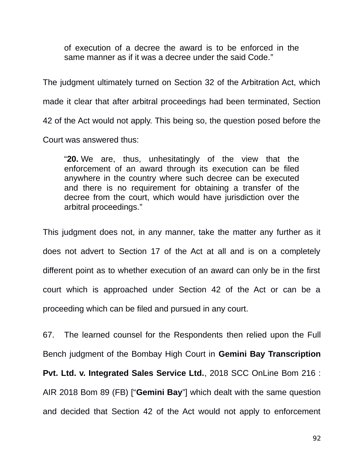of execution of a decree the award is to be enforced in the same manner as if it was a decree under the said Code."

The judgment ultimately turned on Section 32 of the Arbitration Act, which made it clear that after arbitral proceedings had been terminated, Section 42 of the Act would not apply. This being so, the question posed before the Court was answered thus:

"**20.** We are, thus, unhesitatingly of the view that the enforcement of an award through its execution can be filed anywhere in the country where such decree can be executed and there is no requirement for obtaining a transfer of the decree from the court, which would have jurisdiction over the arbitral proceedings."

This judgment does not, in any manner, take the matter any further as it does not advert to Section 17 of the Act at all and is on a completely different point as to whether execution of an award can only be in the first court which is approached under Section 42 of the Act or can be a proceeding which can be filed and pursued in any court.

67. The learned counsel for the Respondents then relied upon the Full Bench judgment of the Bombay High Court in **Gemini Bay Transcription Pvt. Ltd. v. Integrated Sales Service Ltd.**, 2018 SCC OnLine Bom 216 : AIR 2018 Bom 89 (FB) ["**Gemini Bay**"] which dealt with the same question and decided that Section 42 of the Act would not apply to enforcement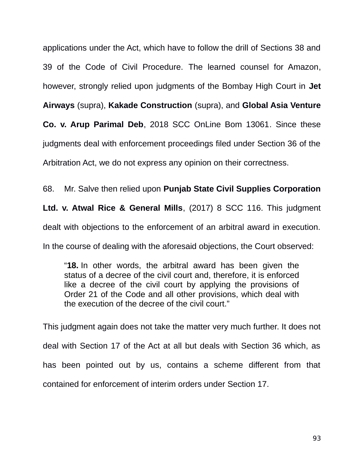applications under the Act, which have to follow the drill of Sections 38 and 39 of the Code of Civil Procedure. The learned counsel for Amazon, however, strongly relied upon judgments of the Bombay High Court in **Jet Airways** (supra), **Kakade Construction** (supra), and **Global Asia Venture Co. v. Arup Parimal Deb**, 2018 SCC OnLine Bom 13061. Since these judgments deal with enforcement proceedings filed under Section 36 of the Arbitration Act, we do not express any opinion on their correctness.

68. Mr. Salve then relied upon **Punjab State Civil Supplies Corporation**

**Ltd. v. Atwal Rice & General Mills**, (2017) 8 SCC 116. This judgment

dealt with objections to the enforcement of an arbitral award in execution.

In the course of dealing with the aforesaid objections, the Court observed:

"**18.** In other words, the arbitral award has been given the status of a decree of the civil court and, therefore, it is enforced like a decree of the civil court by applying the provisions of Order 21 of the Code and all other provisions, which deal with the execution of the decree of the civil court."

This judgment again does not take the matter very much further. It does not deal with Section 17 of the Act at all but deals with Section 36 which, as has been pointed out by us, contains a scheme different from that contained for enforcement of interim orders under Section 17.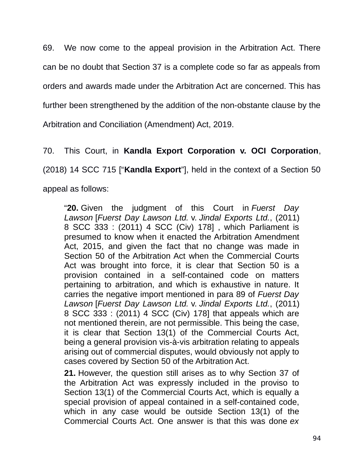69. We now come to the appeal provision in the Arbitration Act. There can be no doubt that Section 37 is a complete code so far as appeals from orders and awards made under the Arbitration Act are concerned. This has further been strengthened by the addition of the non-obstante clause by the Arbitration and Conciliation (Amendment) Act, 2019.

70. This Court, in **Kandla Export Corporation v. OCI Corporation**,

(2018) 14 SCC 715 ["**Kandla Export**"], held in the context of a Section 50

appeal as follows:

"**20.** Given the judgment of this Court in *Fuerst Day Lawson* [*Fuerst Day Lawson Ltd.* v. *Jindal Exports Ltd.*, (2011) 8 SCC 333 : (2011) 4 SCC (Civ) 178] , which Parliament is presumed to know when it enacted the Arbitration Amendment Act, 2015, and given the fact that no change was made in Section 50 of the Arbitration Act when the Commercial Courts Act was brought into force, it is clear that Section 50 is a provision contained in a self-contained code on matters pertaining to arbitration, and which is exhaustive in nature. It carries the negative import mentioned in para 89 of *Fuerst Day Lawson* [*Fuerst Day Lawson Ltd.* v. *Jindal Exports Ltd.*, (2011) 8 SCC 333 : (2011) 4 SCC (Civ) 178] that appeals which are not mentioned therein, are not permissible. This being the case, it is clear that Section 13(1) of the Commercial Courts Act, being a general provision vis-à-vis arbitration relating to appeals arising out of commercial disputes, would obviously not apply to cases covered by Section 50 of the Arbitration Act.

**21.** However, the question still arises as to why Section 37 of the Arbitration Act was expressly included in the proviso to Section 13(1) of the Commercial Courts Act, which is equally a special provision of appeal contained in a self-contained code, which in any case would be outside Section 13(1) of the Commercial Courts Act. One answer is that this was done *ex*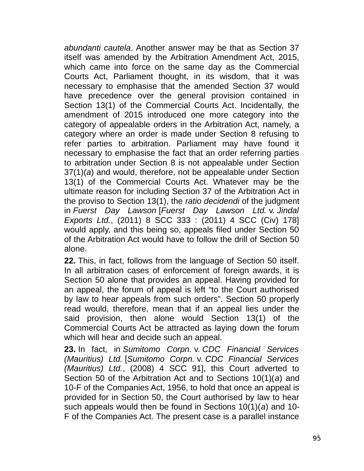*abundanti cautela*. Another answer may be that as Section 37 itself was amended by the Arbitration Amendment Act, 2015, which came into force on the same day as the Commercial Courts Act, Parliament thought, in its wisdom, that it was necessary to emphasise that the amended Section 37 would have precedence over the general provision contained in Section 13(1) of the Commercial Courts Act. Incidentally, the amendment of 2015 introduced one more category into the category of appealable orders in the Arbitration Act, namely, a category where an order is made under Section 8 refusing to refer parties to arbitration. Parliament may have found it necessary to emphasise the fact that an order referring parties to arbitration under Section 8 is not appealable under Section 37(1)(*a*) and would, therefore, not be appealable under Section 13(1) of the Commercial Courts Act. Whatever may be the ultimate reason for including Section 37 of the Arbitration Act in the proviso to Section 13(1), the *ratio decidendi* of the judgment in *Fuerst Day Lawson* [*Fuerst Day Lawson Ltd.* v. *Jindal Exports Ltd.*, (2011) 8 SCC 333 : (2011) 4 SCC (Civ) 178] would apply, and this being so, appeals filed under Section 50 of the Arbitration Act would have to follow the drill of Section 50 alone.

**22.** This, in fact, follows from the language of Section 50 itself. In all arbitration cases of enforcement of foreign awards, it is Section 50 alone that provides an appeal. Having provided for an appeal, the forum of appeal is left "to the Court authorised by law to hear appeals from such orders". Section 50 properly read would, therefore, mean that if an appeal lies under the said provision, then alone would Section 13(1) of the Commercial Courts Act be attracted as laying down the forum which will hear and decide such an appeal.

**23.** In fact, in *Sumitomo Corpn.* v. *CDC Financial Services (Mauritius) Ltd.* [*Sumitomo Corpn.* v. *CDC Financial Services (Mauritius) Ltd.*, (2008) 4 SCC 91], this Court adverted to Section 50 of the Arbitration Act and to Sections 10(1)(*a*) and 10-F of the Companies Act, 1956, to hold that once an appeal is provided for in Section 50, the Court authorised by law to hear such appeals would then be found in Sections 10(1)(*a*) and 10- F of the Companies Act. The present case is a parallel instance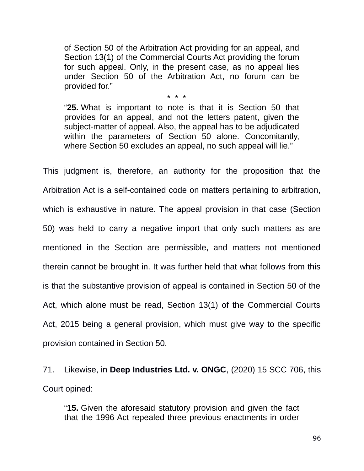of Section 50 of the Arbitration Act providing for an appeal, and Section 13(1) of the Commercial Courts Act providing the forum for such appeal. Only, in the present case, as no appeal lies under Section 50 of the Arbitration Act, no forum can be provided for."

\* \* \*

"**25.** What is important to note is that it is Section 50 that provides for an appeal, and not the letters patent, given the subject-matter of appeal. Also, the appeal has to be adjudicated within the parameters of Section 50 alone. Concomitantly, where Section 50 excludes an appeal, no such appeal will lie."

This judgment is, therefore, an authority for the proposition that the Arbitration Act is a self-contained code on matters pertaining to arbitration, which is exhaustive in nature. The appeal provision in that case (Section 50) was held to carry a negative import that only such matters as are mentioned in the Section are permissible, and matters not mentioned therein cannot be brought in. It was further held that what follows from this is that the substantive provision of appeal is contained in Section 50 of the Act, which alone must be read, Section 13(1) of the Commercial Courts Act, 2015 being a general provision, which must give way to the specific provision contained in Section 50.

71. Likewise, in **Deep Industries Ltd. v. ONGC**, (2020) 15 SCC 706, this Court opined:

"**15.** Given the aforesaid statutory provision and given the fact that the 1996 Act repealed three previous enactments in order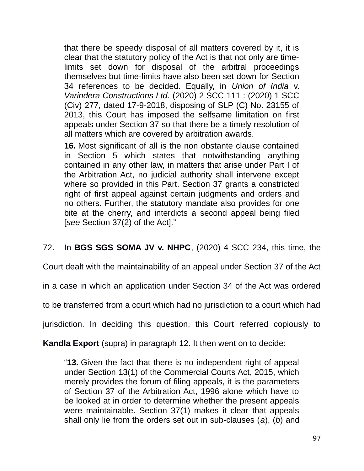that there be speedy disposal of all matters covered by it, it is clear that the statutory policy of the Act is that not only are timelimits set down for disposal of the arbitral proceedings themselves but time-limits have also been set down for Section 34 references to be decided. Equally, in *Union of India* v. *Varindera Constructions Ltd.* (2020) 2 SCC 111 : (2020) 1 SCC (Civ) 277, dated 17-9-2018, disposing of SLP (C) No. 23155 of 2013, this Court has imposed the selfsame limitation on first appeals under Section 37 so that there be a timely resolution of all matters which are covered by arbitration awards.

**16.** Most significant of all is the non obstante clause contained in Section 5 which states that notwithstanding anything contained in any other law, in matters that arise under Part I of the Arbitration Act, no judicial authority shall intervene except where so provided in this Part. Section 37 grants a constricted right of first appeal against certain judgments and orders and no others. Further, the statutory mandate also provides for one bite at the cherry, and interdicts a second appeal being filed [*see* Section 37(2) of the Act]."

72. In **BGS SGS SOMA JV v. NHPC**, (2020) 4 SCC 234, this time, the

Court dealt with the maintainability of an appeal under Section 37 of the Act

in a case in which an application under Section 34 of the Act was ordered

to be transferred from a court which had no jurisdiction to a court which had

jurisdiction. In deciding this question, this Court referred copiously to

**Kandla Export** (supra) in paragraph 12. It then went on to decide:

"**13.** Given the fact that there is no independent right of appeal under Section 13(1) of the Commercial Courts Act, 2015, which merely provides the forum of filing appeals, it is the parameters of Section 37 of the Arbitration Act, 1996 alone which have to be looked at in order to determine whether the present appeals were maintainable. Section 37(1) makes it clear that appeals shall only lie from the orders set out in sub-clauses (*a*), (*b*) and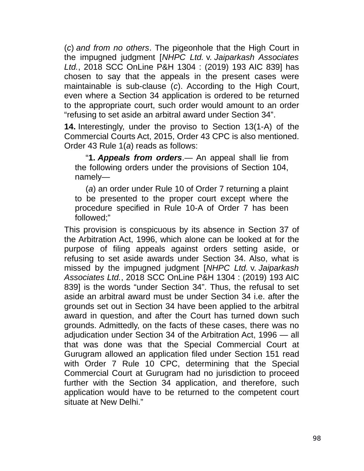(*c*) *and from no others*. The pigeonhole that the High Court in the impugned judgment [*NHPC Ltd.* v. *Jaiparkash Associates Ltd.*, 2018 SCC OnLine P&H 1304 : (2019) 193 AIC 839] has chosen to say that the appeals in the present cases were maintainable is sub-clause (*c*). According to the High Court, even where a Section 34 application is ordered to be returned to the appropriate court, such order would amount to an order "refusing to set aside an arbitral award under Section 34".

**14.** Interestingly, under the proviso to Section 13(1-A) of the Commercial Courts Act, 2015, Order 43 CPC is also mentioned. Order 43 Rule 1(*a*) reads as follows:

"**1.** *Appeals from orders*.— An appeal shall lie from the following orders under the provisions of Section 104, namely—

(*a*) an order under Rule 10 of Order 7 returning a plaint to be presented to the proper court except where the procedure specified in Rule 10-A of Order 7 has been followed;"

This provision is conspicuous by its absence in Section 37 of the Arbitration Act, 1996, which alone can be looked at for the purpose of filing appeals against orders setting aside, or refusing to set aside awards under Section 34. Also, what is missed by the impugned judgment [*NHPC Ltd.* v. *Jaiparkash Associates Ltd.*, 2018 SCC OnLine P&H 1304 : (2019) 193 AIC 839] is the words "under Section 34". Thus, the refusal to set aside an arbitral award must be under Section 34 i.e. after the grounds set out in Section 34 have been applied to the arbitral award in question, and after the Court has turned down such grounds. Admittedly, on the facts of these cases, there was no adjudication under Section 34 of the Arbitration Act, 1996 — all that was done was that the Special Commercial Court at Gurugram allowed an application filed under Section 151 read with Order 7 Rule 10 CPC, determining that the Special Commercial Court at Gurugram had no jurisdiction to proceed further with the Section 34 application, and therefore, such application would have to be returned to the competent court situate at New Delhi."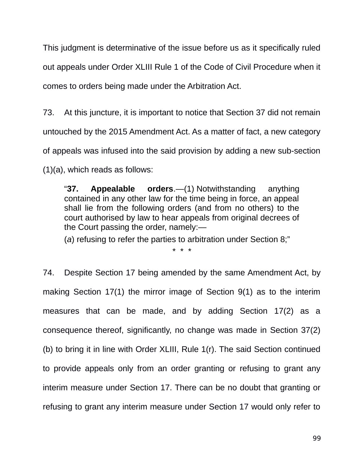This judgment is determinative of the issue before us as it specifically ruled out appeals under Order XLIII Rule 1 of the Code of Civil Procedure when it comes to orders being made under the Arbitration Act.

73. At this juncture, it is important to notice that Section 37 did not remain untouched by the 2015 Amendment Act. As a matter of fact, a new category of appeals was infused into the said provision by adding a new sub-section (1)(a), which reads as follows:

"**37. Appealable orders**.—(1) Notwithstanding anything contained in any other law for the time being in force, an appeal shall lie from the following orders (and from no others) to the court authorised by law to hear appeals from original decrees of the Court passing the order, namely:—

(*a*) refusing to refer the parties to arbitration under Section 8;"

\* \* \*

74. Despite Section 17 being amended by the same Amendment Act, by making Section 17(1) the mirror image of Section 9(1) as to the interim measures that can be made, and by adding Section 17(2) as a consequence thereof, significantly, no change was made in Section 37(2) (b) to bring it in line with Order XLIII, Rule 1(r). The said Section continued to provide appeals only from an order granting or refusing to grant any interim measure under Section 17. There can be no doubt that granting or refusing to grant any interim measure under Section 17 would only refer to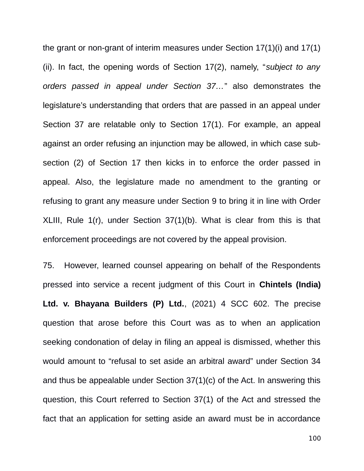the grant or non-grant of interim measures under Section 17(1)(i) and 17(1) (ii). In fact, the opening words of Section 17(2), namely, "*subject to any orders passed in appeal under Section 37…*" also demonstrates the legislature's understanding that orders that are passed in an appeal under Section 37 are relatable only to Section 17(1). For example, an appeal against an order refusing an injunction may be allowed, in which case subsection (2) of Section 17 then kicks in to enforce the order passed in appeal. Also, the legislature made no amendment to the granting or refusing to grant any measure under Section 9 to bring it in line with Order XLIII, Rule 1(r), under Section 37(1)(b). What is clear from this is that enforcement proceedings are not covered by the appeal provision.

75. However, learned counsel appearing on behalf of the Respondents pressed into service a recent judgment of this Court in **Chintels (India) Ltd. v. Bhayana Builders (P) Ltd.**, (2021) 4 SCC 602. The precise question that arose before this Court was as to when an application seeking condonation of delay in filing an appeal is dismissed, whether this would amount to "refusal to set aside an arbitral award" under Section 34 and thus be appealable under Section 37(1)(c) of the Act. In answering this question, this Court referred to Section 37(1) of the Act and stressed the fact that an application for setting aside an award must be in accordance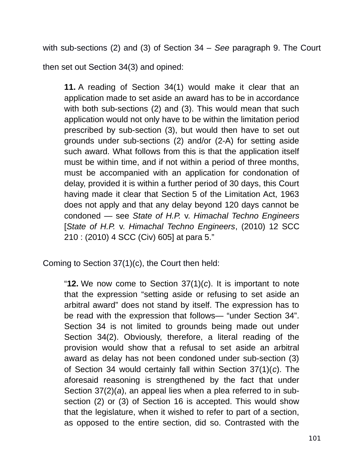with sub-sections (2) and (3) of Section 34 – *See* paragraph 9. The Court

then set out Section 34(3) and opined:

**11.** A reading of Section 34(1) would make it clear that an application made to set aside an award has to be in accordance with both sub-sections (2) and (3). This would mean that such application would not only have to be within the limitation period prescribed by sub-section (3), but would then have to set out grounds under sub-sections (2) and/or (2-A) for setting aside such award. What follows from this is that the application itself must be within time, and if not within a period of three months, must be accompanied with an application for condonation of delay, provided it is within a further period of 30 days, this Court having made it clear that Section 5 of the Limitation Act, 1963 does not apply and that any delay beyond 120 days cannot be condoned — see *State of H.P.* v. *Himachal Techno Engineers* [*State of H.P.* v. *Himachal Techno Engineers*, (2010) 12 SCC 210 : (2010) 4 SCC (Civ) 605] at para 5."

Coming to Section 37(1)(c), the Court then held:

"**12.** We now come to Section 37(1)(*c*). It is important to note that the expression "setting aside or refusing to set aside an arbitral award" does not stand by itself. The expression has to be read with the expression that follows— "under Section 34". Section 34 is not limited to grounds being made out under Section 34(2). Obviously, therefore, a literal reading of the provision would show that a refusal to set aside an arbitral award as delay has not been condoned under sub-section (3) of Section 34 would certainly fall within Section 37(1)(*c*). The aforesaid reasoning is strengthened by the fact that under Section 37(2)(*a*), an appeal lies when a plea referred to in subsection (2) or (3) of Section 16 is accepted. This would show that the legislature, when it wished to refer to part of a section, as opposed to the entire section, did so. Contrasted with the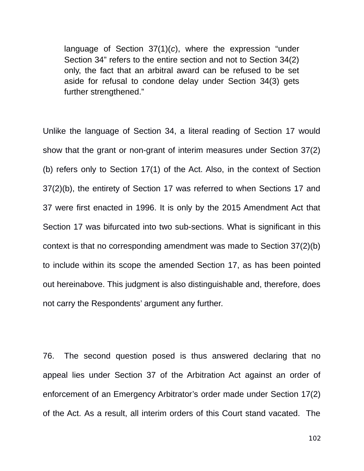language of Section 37(1)(*c*), where the expression "under Section 34" refers to the entire section and not to Section 34(2) only, the fact that an arbitral award can be refused to be set aside for refusal to condone delay under Section 34(3) gets further strengthened."

Unlike the language of Section 34, a literal reading of Section 17 would show that the grant or non-grant of interim measures under Section 37(2) (b) refers only to Section 17(1) of the Act. Also, in the context of Section 37(2)(b), the entirety of Section 17 was referred to when Sections 17 and 37 were first enacted in 1996. It is only by the 2015 Amendment Act that Section 17 was bifurcated into two sub-sections. What is significant in this context is that no corresponding amendment was made to Section 37(2)(b) to include within its scope the amended Section 17, as has been pointed out hereinabove. This judgment is also distinguishable and, therefore, does not carry the Respondents' argument any further.

76. The second question posed is thus answered declaring that no appeal lies under Section 37 of the Arbitration Act against an order of enforcement of an Emergency Arbitrator's order made under Section 17(2) of the Act. As a result, all interim orders of this Court stand vacated. The